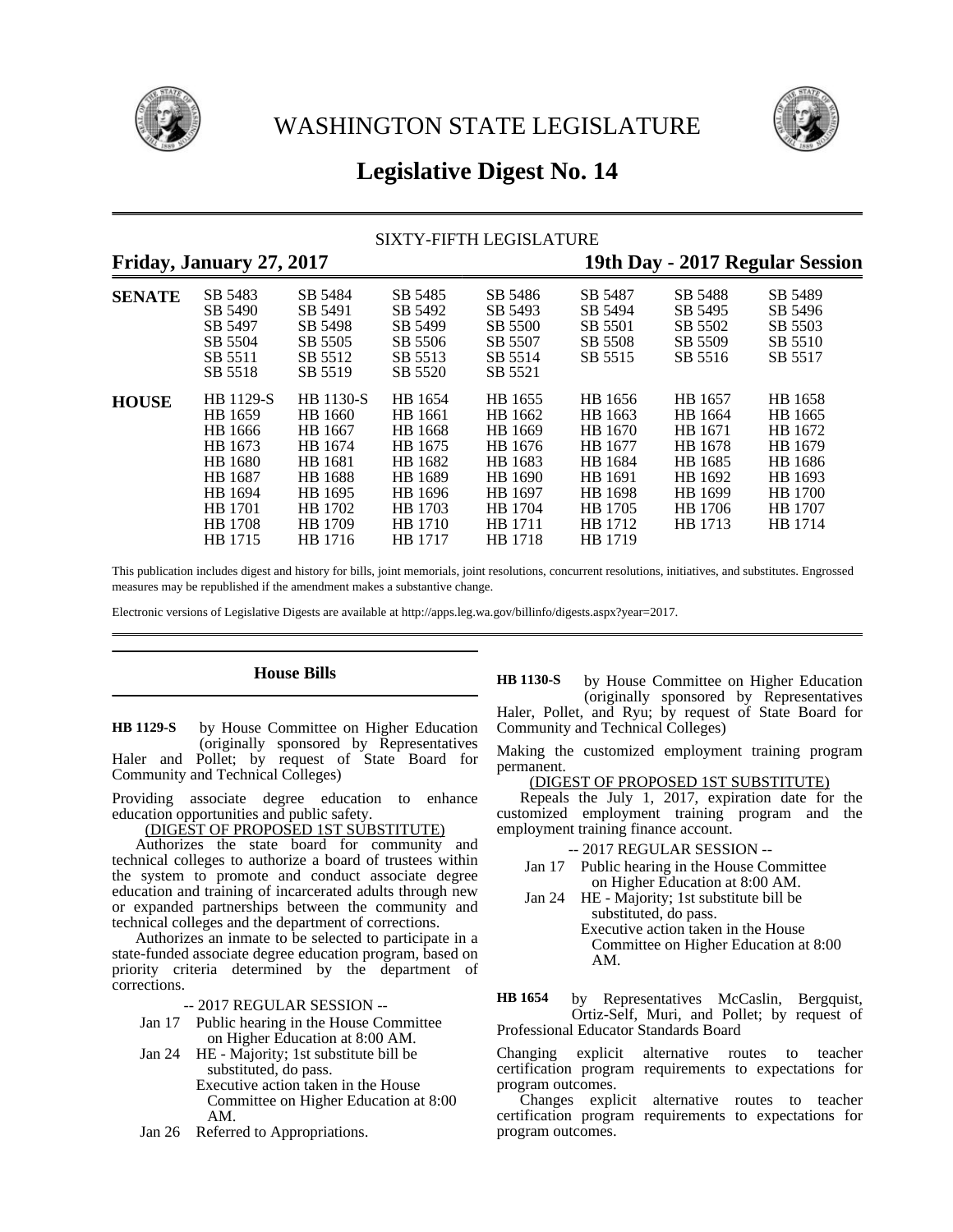



# **Legislative Digest No. 14**

## SIXTY-FIFTH LEGISLATURE

# **Friday, January 27, 2017 19th Day - 2017 Regular Session**

| <b>SENATE</b> | SB 5483            | SB 5484            | SB 5485            | SB 5486            | SB 5487 | SB 5488 | SB 5489 |
|---------------|--------------------|--------------------|--------------------|--------------------|---------|---------|---------|
|               | SB 5490            | SB 5491            | SB 5492            | SB 5493            | SB 5494 | SB 5495 | SB 5496 |
|               | SB 5497            | SB 5498            | SB 5499            | SB 5500            | SB 5501 | SB 5502 | SB 5503 |
|               | SB 5504            | SB 5505            | SB 5506            | SB 5507            | SB 5508 | SB 5509 | SB 5510 |
|               | SB 5511<br>SB 5518 | SB 5512<br>SB 5519 | SB 5513<br>SB 5520 | SB 5514<br>SB 5521 | SB 5515 | SB 5516 | SB 5517 |
| <b>HOUSE</b>  | HB 1129-S          | <b>HB</b> 1130-S   | HB 1654            | HB 1655            | HB 1656 | HB 1657 | HB 1658 |
|               | HB 1659            | HB 1660            | HB 1661            | HB 1662            | HB 1663 | HB 1664 | HB 1665 |
|               | HB 1666            | HB 1667            | HB 1668            | HB 1669            | HB 1670 | HB 1671 | HB 1672 |
|               | HB 1673            | HB 1674            | HB 1675            | HB 1676            | HB 1677 | HB 1678 | HB 1679 |
|               | HB 1680            | HB 1681            | HB 1682            | HB 1683            | HB 1684 | HB 1685 | HB 1686 |
|               | HB 1687            | <b>HB</b> 1688     | HB 1689            | HB 1690            | HB 1691 | HB 1692 | HB 1693 |
|               | HB 1694            | HB 1695            | HB 1696            | HB 1697            | HB 1698 | HB 1699 | HB 1700 |
|               | HB 1701            | HB 1702            | HB 1703            | HB 1704            | HB 1705 | HB 1706 | HB 1707 |
|               | HB 1708            | HB 1709            | HB 1710            | HB 1711            | HB 1712 | HB 1713 | HB 1714 |
|               | HB 1715            | HB 1716            | HB 1717            | HB 1718            | HB 1719 |         |         |

This publication includes digest and history for bills, joint memorials, joint resolutions, concurrent resolutions, initiatives, and substitutes. Engrossed measures may be republished if the amendment makes a substantive change.

Electronic versions of Legislative Digests are available at http://apps.leg.wa.gov/billinfo/digests.aspx?year=2017.

### **House Bills**

by House Committee on Higher Education (originally sponsored by Representatives Haler and Pollet; by request of State Board for Community and Technical Colleges) **HB 1129-S**

Providing associate degree education to enhance education opportunities and public safety.

<u>(DIGEST OF PROPOSED 1ST SUBSTITUTE)</u>

Authorizes the state board for community and technical colleges to authorize a board of trustees within the system to promote and conduct associate degree education and training of incarcerated adults through new or expanded partnerships between the community and technical colleges and the department of corrections.

Authorizes an inmate to be selected to participate in a state-funded associate degree education program, based on priority criteria determined by the department of corrections.

-- 2017 REGULAR SESSION --

- Jan 17 Public hearing in the House Committee on Higher Education at 8:00 AM.
- Jan 24 HE Majority; 1st substitute bill be substituted, do pass.
	- Executive action taken in the House Committee on Higher Education at 8:00 AM.
- Jan 26 Referred to Appropriations.

by House Committee on Higher Education (originally sponsored by Representatives Haler, Pollet, and Ryu; by request of State Board for Community and Technical Colleges) **HB 1130-S**

Making the customized employment training program permanent.

(DIGEST OF PROPOSED 1ST SUBSTITUTE)

Repeals the July 1, 2017, expiration date for the customized employment training program and the employment training finance account.

-- 2017 REGULAR SESSION --

- Jan 17 Public hearing in the House Committee on Higher Education at 8:00 AM.
- Jan 24 HE Majority; 1st substitute bill be substituted, do pass. Executive action taken in the House Committee on Higher Education at 8:00 AM.

by Representatives McCaslin, Bergquist, Ortiz-Self, Muri, and Pollet; by request of Professional Educator Standards Board **HB 1654**

Changing explicit alternative routes to teacher certification program requirements to expectations for program outcomes.

Changes explicit alternative routes to teacher certification program requirements to expectations for program outcomes.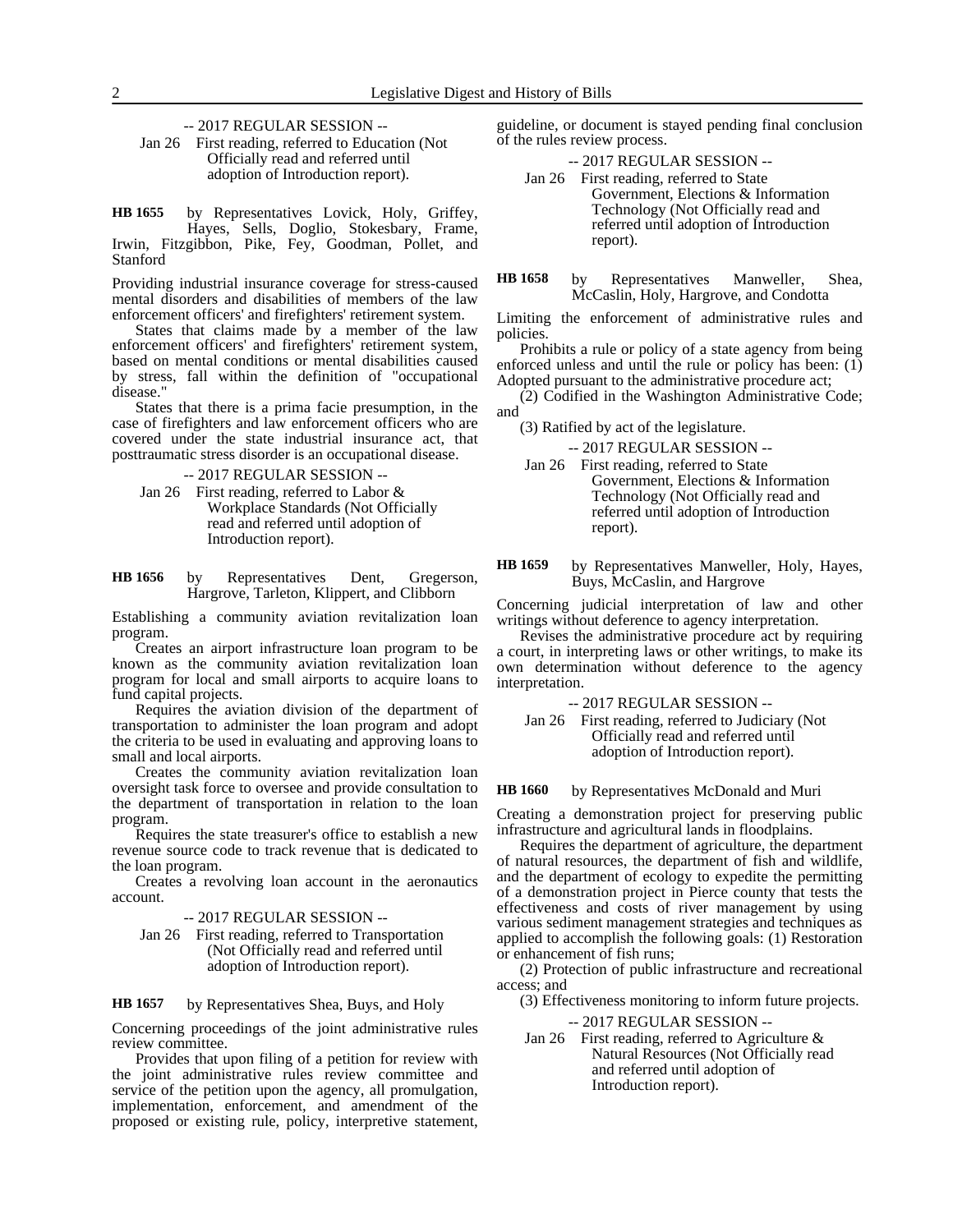-- 2017 REGULAR SESSION --

Jan 26 First reading, referred to Education (Not Officially read and referred until adoption of Introduction report).

by Representatives Lovick, Holy, Griffey, Hayes, Sells, Doglio, Stokesbary, Frame, Irwin, Fitzgibbon, Pike, Fey, Goodman, Pollet, and Stanford **HB 1655**

Providing industrial insurance coverage for stress-caused mental disorders and disabilities of members of the law enforcement officers' and firefighters' retirement system.

States that claims made by a member of the law enforcement officers' and firefighters' retirement system, based on mental conditions or mental disabilities caused by stress, fall within the definition of "occupational disease."

States that there is a prima facie presumption, in the case of firefighters and law enforcement officers who are covered under the state industrial insurance act, that posttraumatic stress disorder is an occupational disease.

-- 2017 REGULAR SESSION --

Jan 26 First reading, referred to Labor & Workplace Standards (Not Officially read and referred until adoption of Introduction report).

by Representatives Dent, Gregerson, Hargrove, Tarleton, Klippert, and Clibborn **HB 1656**

Establishing a community aviation revitalization loan program.

Creates an airport infrastructure loan program to be known as the community aviation revitalization loan program for local and small airports to acquire loans to fund capital projects.

Requires the aviation division of the department of transportation to administer the loan program and adopt the criteria to be used in evaluating and approving loans to small and local airports.

Creates the community aviation revitalization loan oversight task force to oversee and provide consultation to the department of transportation in relation to the loan program.

Requires the state treasurer's office to establish a new revenue source code to track revenue that is dedicated to the loan program.

Creates a revolving loan account in the aeronautics account.

-- 2017 REGULAR SESSION --

Jan 26 First reading, referred to Transportation (Not Officially read and referred until adoption of Introduction report).

by Representatives Shea, Buys, and Holy **HB 1657**

Concerning proceedings of the joint administrative rules review committee.

Provides that upon filing of a petition for review with the joint administrative rules review committee and service of the petition upon the agency, all promulgation, implementation, enforcement, and amendment of the proposed or existing rule, policy, interpretive statement,

guideline, or document is stayed pending final conclusion of the rules review process.

-- 2017 REGULAR SESSION --

- Jan 26 First reading, referred to State Government, Elections & Information Technology (Not Officially read and referred until adoption of Introduction report).
- by Representatives Manweller, Shea, McCaslin, Holy, Hargrove, and Condotta **HB 1658**

Limiting the enforcement of administrative rules and policies.

Prohibits a rule or policy of a state agency from being enforced unless and until the rule or policy has been: (1) Adopted pursuant to the administrative procedure act;

(2) Codified in the Washington Administrative Code; and

(3) Ratified by act of the legislature.

-- 2017 REGULAR SESSION --

- Jan 26 First reading, referred to State Government, Elections & Information Technology (Not Officially read and referred until adoption of Introduction report).
- by Representatives Manweller, Holy, Hayes, Buys, McCaslin, and Hargrove **HB 1659**

Concerning judicial interpretation of law and other writings without deference to agency interpretation.

Revises the administrative procedure act by requiring a court, in interpreting laws or other writings, to make its own determination without deference to the agency interpretation.

-- 2017 REGULAR SESSION --

Jan 26 First reading, referred to Judiciary (Not Officially read and referred until adoption of Introduction report).

#### by Representatives McDonald and Muri **HB 1660**

Creating a demonstration project for preserving public infrastructure and agricultural lands in floodplains.

Requires the department of agriculture, the department of natural resources, the department of fish and wildlife, and the department of ecology to expedite the permitting of a demonstration project in Pierce county that tests the effectiveness and costs of river management by using various sediment management strategies and techniques as applied to accomplish the following goals: (1) Restoration or enhancement of fish runs;

(2) Protection of public infrastructure and recreational access; and

(3) Effectiveness monitoring to inform future projects.

-- 2017 REGULAR SESSION --

Jan 26 First reading, referred to Agriculture & Natural Resources (Not Officially read and referred until adoption of Introduction report).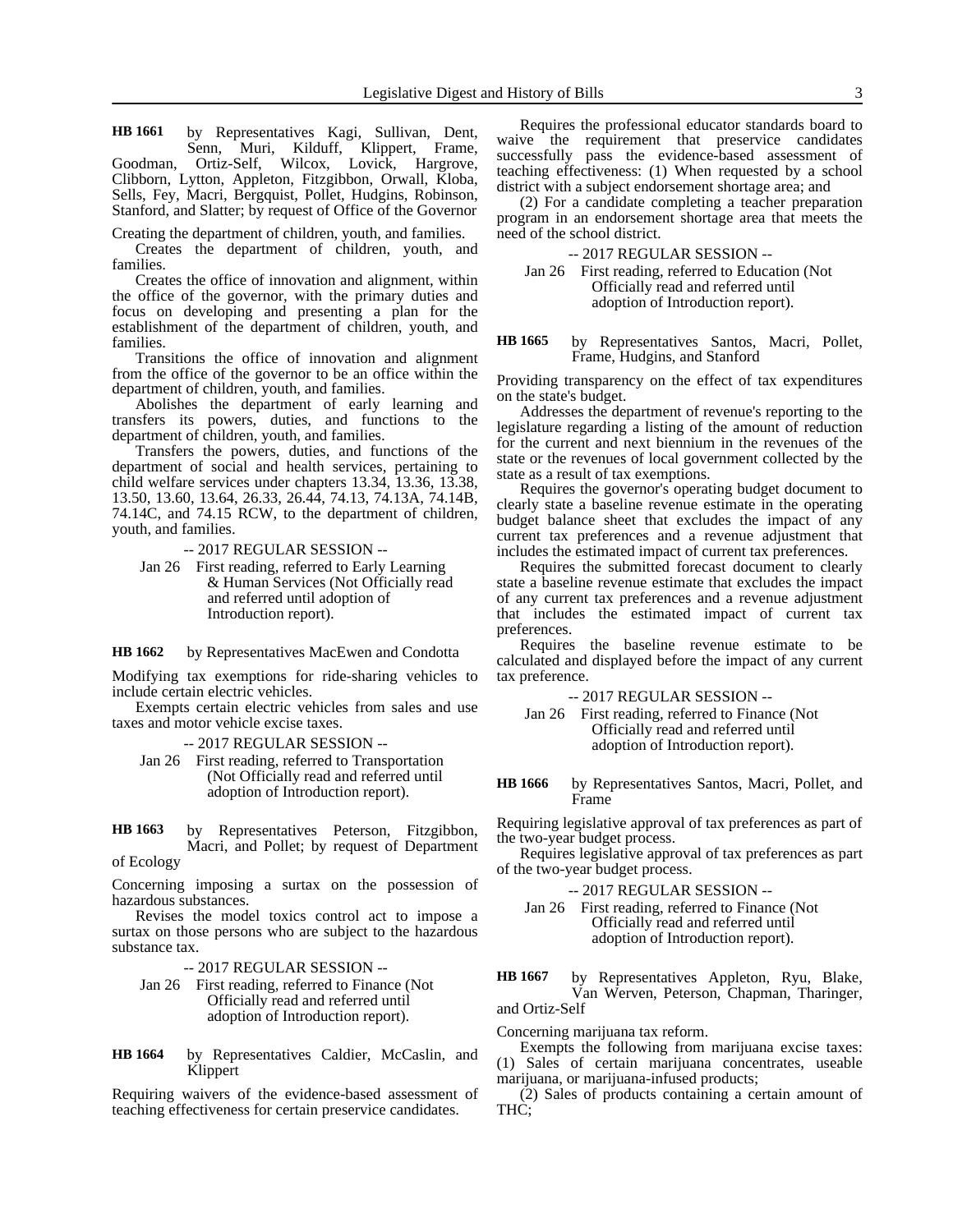by Representatives Kagi, Sullivan, Dent, Senn, Muri, Kilduff, Klippert, Frame, Goodman, Ortiz-Self, Wilcox, Lovick, Hargrove, Clibborn, Lytton, Appleton, Fitzgibbon, Orwall, Kloba, Sells, Fey, Macri, Bergquist, Pollet, Hudgins, Robinson, Stanford, and Slatter; by request of Office of the Governor **HB 1661**

Creating the department of children, youth, and families.

Creates the department of children, youth, and families.

Creates the office of innovation and alignment, within the office of the governor, with the primary duties and focus on developing and presenting a plan for the establishment of the department of children, youth, and families.

Transitions the office of innovation and alignment from the office of the governor to be an office within the department of children, youth, and families.

Abolishes the department of early learning and transfers its powers, duties, and functions to the department of children, youth, and families.

Transfers the powers, duties, and functions of the department of social and health services, pertaining to child welfare services under chapters 13.34, 13.36, 13.38, 13.50, 13.60, 13.64, 26.33, 26.44, 74.13, 74.13A, 74.14B, 74.14C, and 74.15 RCW, to the department of children, youth, and families.

-- 2017 REGULAR SESSION --

Jan 26 First reading, referred to Early Learning & Human Services (Not Officially read and referred until adoption of Introduction report).

by Representatives MacEwen and Condotta **HB 1662**

Modifying tax exemptions for ride-sharing vehicles to include certain electric vehicles.

Exempts certain electric vehicles from sales and use taxes and motor vehicle excise taxes.

-- 2017 REGULAR SESSION --

Jan 26 First reading, referred to Transportation (Not Officially read and referred until adoption of Introduction report).

by Representatives Peterson, Fitzgibbon, Macri, and Pollet; by request of Department of Ecology **HB 1663**

Concerning imposing a surtax on the possession of hazardous substances.

Revises the model toxics control act to impose a surtax on those persons who are subject to the hazardous substance tax.

-- 2017 REGULAR SESSION --

- Jan 26 First reading, referred to Finance (Not Officially read and referred until adoption of Introduction report).
- by Representatives Caldier, McCaslin, and Klippert **HB 1664**

Requiring waivers of the evidence-based assessment of teaching effectiveness for certain preservice candidates.

Requires the professional educator standards board to waive the requirement that preservice candidates successfully pass the evidence-based assessment of teaching effectiveness: (1) When requested by a school district with a subject endorsement shortage area; and

(2) For a candidate completing a teacher preparation program in an endorsement shortage area that meets the need of the school district.

-- 2017 REGULAR SESSION --

Jan 26 First reading, referred to Education (Not Officially read and referred until adoption of Introduction report).

by Representatives Santos, Macri, Pollet, Frame, Hudgins, and Stanford **HB 1665**

Providing transparency on the effect of tax expenditures on the state's budget.

Addresses the department of revenue's reporting to the legislature regarding a listing of the amount of reduction for the current and next biennium in the revenues of the state or the revenues of local government collected by the state as a result of tax exemptions.

Requires the governor's operating budget document to clearly state a baseline revenue estimate in the operating budget balance sheet that excludes the impact of any current tax preferences and a revenue adjustment that includes the estimated impact of current tax preferences.

Requires the submitted forecast document to clearly state a baseline revenue estimate that excludes the impact of any current tax preferences and a revenue adjustment that includes the estimated impact of current tax preferences.

Requires the baseline revenue estimate to be calculated and displayed before the impact of any current tax preference.

-- 2017 REGULAR SESSION --

Jan 26 First reading, referred to Finance (Not Officially read and referred until adoption of Introduction report).

by Representatives Santos, Macri, Pollet, and Frame **HB 1666**

Requiring legislative approval of tax preferences as part of the two-year budget process.

Requires legislative approval of tax preferences as part of the two-year budget process.

-- 2017 REGULAR SESSION --

Jan 26 First reading, referred to Finance (Not Officially read and referred until adoption of Introduction report).

by Representatives Appleton, Ryu, Blake, Van Werven, Peterson, Chapman, Tharinger, and Ortiz-Self **HB 1667**

Concerning marijuana tax reform.

Exempts the following from marijuana excise taxes: (1) Sales of certain marijuana concentrates, useable marijuana, or marijuana-infused products;

(2) Sales of products containing a certain amount of THC;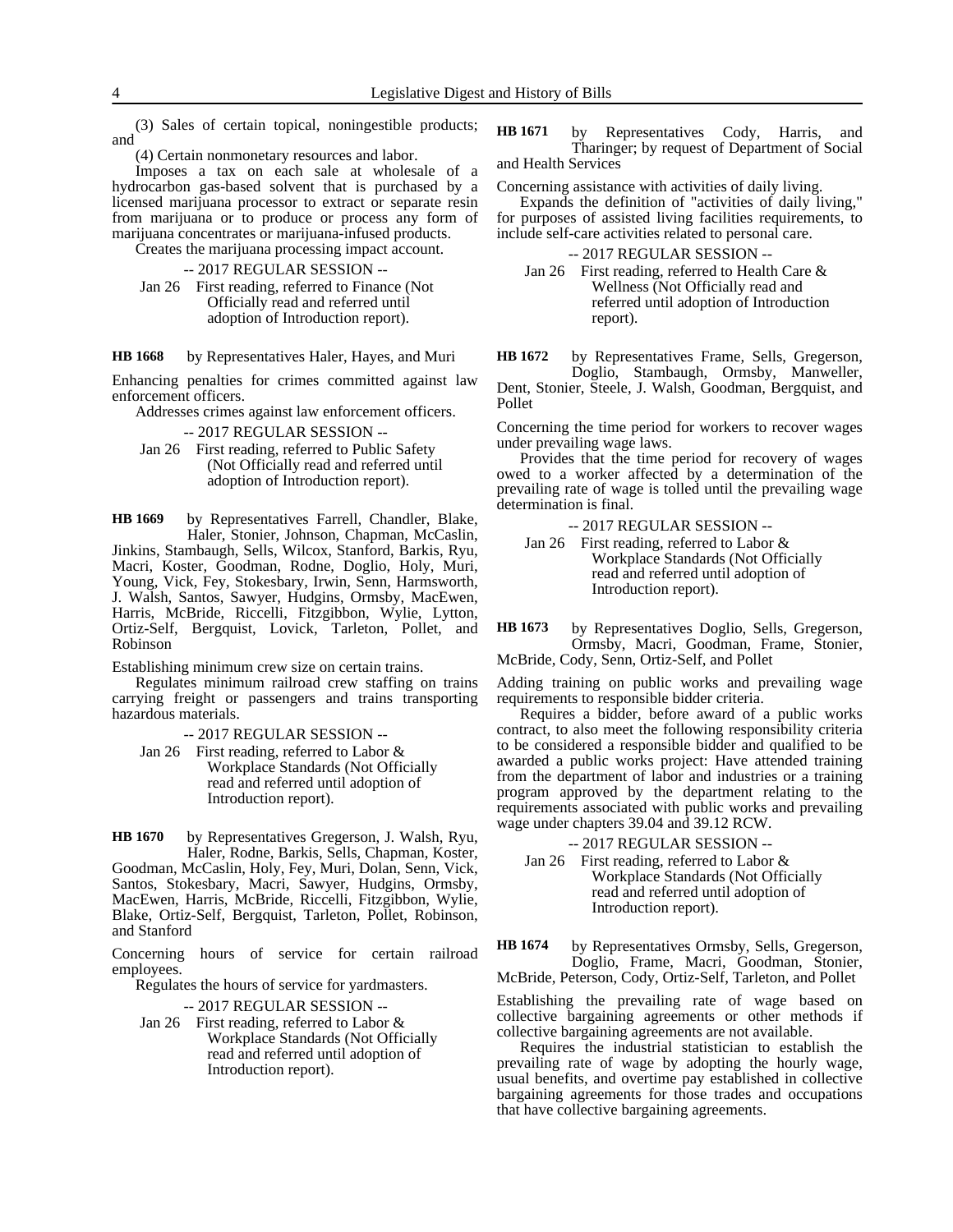(3) Sales of certain topical, noningestible products; and

(4) Certain nonmonetary resources and labor.

Imposes a tax on each sale at wholesale of a hydrocarbon gas-based solvent that is purchased by a licensed marijuana processor to extract or separate resin from marijuana or to produce or process any form of marijuana concentrates or marijuana-infused products.

Creates the marijuana processing impact account.

- -- 2017 REGULAR SESSION --
- Jan 26 First reading, referred to Finance (Not Officially read and referred until adoption of Introduction report).

#### by Representatives Haler, Hayes, and Muri **HB 1668**

Enhancing penalties for crimes committed against law enforcement officers.

Addresses crimes against law enforcement officers.

-- 2017 REGULAR SESSION --

Jan 26 First reading, referred to Public Safety (Not Officially read and referred until adoption of Introduction report).

by Representatives Farrell, Chandler, Blake, Haler, Stonier, Johnson, Chapman, McCaslin, Jinkins, Stambaugh, Sells, Wilcox, Stanford, Barkis, Ryu, Macri, Koster, Goodman, Rodne, Doglio, Holy, Muri, Young, Vick, Fey, Stokesbary, Irwin, Senn, Harmsworth, J. Walsh, Santos, Sawyer, Hudgins, Ormsby, MacEwen, Harris, McBride, Riccelli, Fitzgibbon, Wylie, Lytton, Ortiz-Self, Bergquist, Lovick, Tarleton, Pollet, and Robinson **HB 1669**

Establishing minimum crew size on certain trains.

Regulates minimum railroad crew staffing on trains carrying freight or passengers and trains transporting hazardous materials.

-- 2017 REGULAR SESSION --

Jan 26 First reading, referred to Labor & Workplace Standards (Not Officially read and referred until adoption of Introduction report).

by Representatives Gregerson, J. Walsh, Ryu, Haler, Rodne, Barkis, Sells, Chapman, Koster, Goodman, McCaslin, Holy, Fey, Muri, Dolan, Senn, Vick, Santos, Stokesbary, Macri, Sawyer, Hudgins, Ormsby, MacEwen, Harris, McBride, Riccelli, Fitzgibbon, Wylie, Blake, Ortiz-Self, Bergquist, Tarleton, Pollet, Robinson, and Stanford **HB 1670**

Concerning hours of service for certain railroad employees.

Regulates the hours of service for yardmasters.

-- 2017 REGULAR SESSION --

Jan 26 First reading, referred to Labor & Workplace Standards (Not Officially read and referred until adoption of Introduction report).

by Representatives Cody, Harris, and Tharinger; by request of Department of Social and Health Services **HB 1671**

Concerning assistance with activities of daily living.

Expands the definition of "activities of daily living," for purposes of assisted living facilities requirements, to include self-care activities related to personal care.

-- 2017 REGULAR SESSION --

Jan 26 First reading, referred to Health Care & Wellness (Not Officially read and referred until adoption of Introduction report).

by Representatives Frame, Sells, Gregerson, **HB 1672**

Doglio, Stambaugh, Ormsby, Manweller, Dent, Stonier, Steele, J. Walsh, Goodman, Bergquist, and Pollet

Concerning the time period for workers to recover wages under prevailing wage laws.

Provides that the time period for recovery of wages owed to a worker affected by a determination of the prevailing rate of wage is tolled until the prevailing wage determination is final.

-- 2017 REGULAR SESSION --

Jan 26 First reading, referred to Labor & Workplace Standards (Not Officially read and referred until adoption of Introduction report).

by Representatives Doglio, Sells, Gregerson, Ormsby, Macri, Goodman, Frame, Stonier, **HB 1673**

McBride, Cody, Senn, Ortiz-Self, and Pollet

Adding training on public works and prevailing wage requirements to responsible bidder criteria.

Requires a bidder, before award of a public works contract, to also meet the following responsibility criteria to be considered a responsible bidder and qualified to be awarded a public works project: Have attended training from the department of labor and industries or a training program approved by the department relating to the requirements associated with public works and prevailing wage under chapters 39.04 and 39.12 RCW.

-- 2017 REGULAR SESSION -- Jan 26 First reading, referred to Labor & Workplace Standards (Not Officially read and referred until adoption of Introduction report).

by Representatives Ormsby, Sells, Gregerson, Doglio, Frame, Macri, Goodman, Stonier, McBride, Peterson, Cody, Ortiz-Self, Tarleton, and Pollet **HB 1674**

Establishing the prevailing rate of wage based on collective bargaining agreements or other methods if collective bargaining agreements are not available.

Requires the industrial statistician to establish the prevailing rate of wage by adopting the hourly wage, usual benefits, and overtime pay established in collective bargaining agreements for those trades and occupations that have collective bargaining agreements.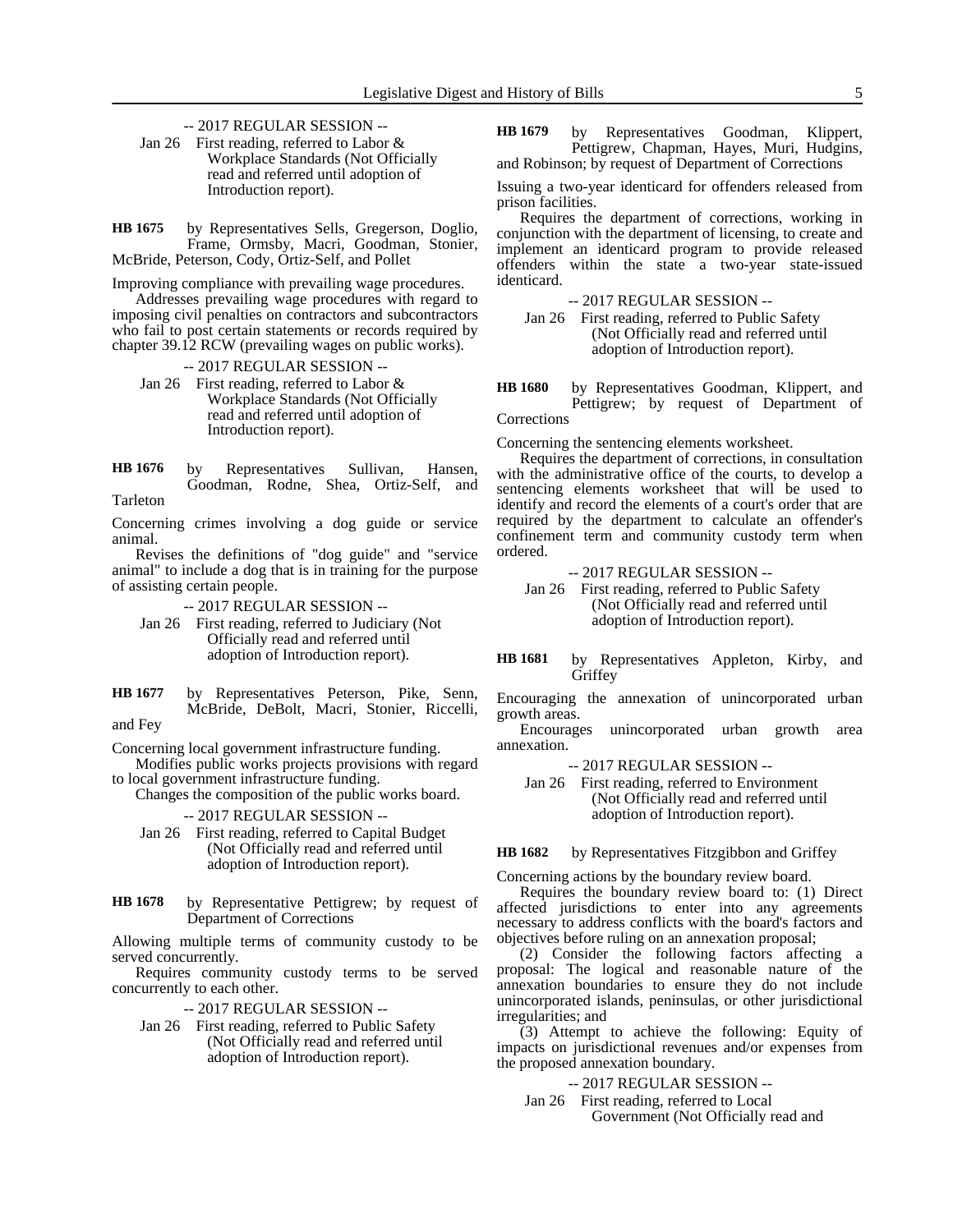- -- 2017 REGULAR SESSION --
- Jan 26 First reading, referred to Labor & Workplace Standards (Not Officially read and referred until adoption of Introduction report).

by Representatives Sells, Gregerson, Doglio, Frame, Ormsby, Macri, Goodman, Stonier, McBride, Peterson, Cody, Ortiz-Self, and Pollet **HB 1675**

Improving compliance with prevailing wage procedures.

Addresses prevailing wage procedures with regard to imposing civil penalties on contractors and subcontractors who fail to post certain statements or records required by chapter 39.12 RCW (prevailing wages on public works).

-- 2017 REGULAR SESSION --

Jan 26 First reading, referred to Labor & Workplace Standards (Not Officially read and referred until adoption of Introduction report).

by Representatives Sullivan, Hansen, Goodman, Rodne, Shea, Ortiz-Self, and Tarleton **HB 1676**

Concerning crimes involving a dog guide or service animal.

Revises the definitions of "dog guide" and "service animal" to include a dog that is in training for the purpose of assisting certain people.

-- 2017 REGULAR SESSION --

- Jan 26 First reading, referred to Judiciary (Not Officially read and referred until adoption of Introduction report).
- by Representatives Peterson, Pike, Senn, McBride, DeBolt, Macri, Stonier, Riccelli, **HB 1677**

and Fey

Concerning local government infrastructure funding.

Modifies public works projects provisions with regard to local government infrastructure funding.

Changes the composition of the public works board.

-- 2017 REGULAR SESSION --

- Jan 26 First reading, referred to Capital Budget (Not Officially read and referred until adoption of Introduction report).
- by Representative Pettigrew; by request of Department of Corrections **HB 1678**

Allowing multiple terms of community custody to be served concurrently.

Requires community custody terms to be served concurrently to each other.

-- 2017 REGULAR SESSION --

Jan 26 First reading, referred to Public Safety (Not Officially read and referred until adoption of Introduction report).

by Representatives Goodman, Klippert, Pettigrew, Chapman, Hayes, Muri, Hudgins, and Robinson; by request of Department of Corrections **HB 1679**

Issuing a two-year identicard for offenders released from prison facilities.

Requires the department of corrections, working in conjunction with the department of licensing, to create and implement an identicard program to provide released offenders within the state a two-year state-issued identicard.

-- 2017 REGULAR SESSION --

Jan 26 First reading, referred to Public Safety (Not Officially read and referred until adoption of Introduction report).

by Representatives Goodman, Klippert, and Pettigrew; by request of Department of Corrections **HB 1680**

Concerning the sentencing elements worksheet.

Requires the department of corrections, in consultation with the administrative office of the courts, to develop a sentencing elements worksheet that will be used to identify and record the elements of a court's order that are required by the department to calculate an offender's confinement term and community custody term when ordered.

-- 2017 REGULAR SESSION --

Jan 26 First reading, referred to Public Safety (Not Officially read and referred until adoption of Introduction report).

by Representatives Appleton, Kirby, and Griffey **HB 1681**

Encouraging the annexation of unincorporated urban growth areas.

Encourages unincorporated urban growth area annexation.

-- 2017 REGULAR SESSION --

Jan 26 First reading, referred to Environment (Not Officially read and referred until adoption of Introduction report).

by Representatives Fitzgibbon and Griffey **HB 1682**

Concerning actions by the boundary review board.

Requires the boundary review board to: (1) Direct affected jurisdictions to enter into any agreements necessary to address conflicts with the board's factors and objectives before ruling on an annexation proposal;

(2) Consider the following factors affecting a proposal: The logical and reasonable nature of the annexation boundaries to ensure they do not include unincorporated islands, peninsulas, or other jurisdictional irregularities; and

(3) Attempt to achieve the following: Equity of impacts on jurisdictional revenues and/or expenses from the proposed annexation boundary.

-- 2017 REGULAR SESSION --

Jan 26 First reading, referred to Local Government (Not Officially read and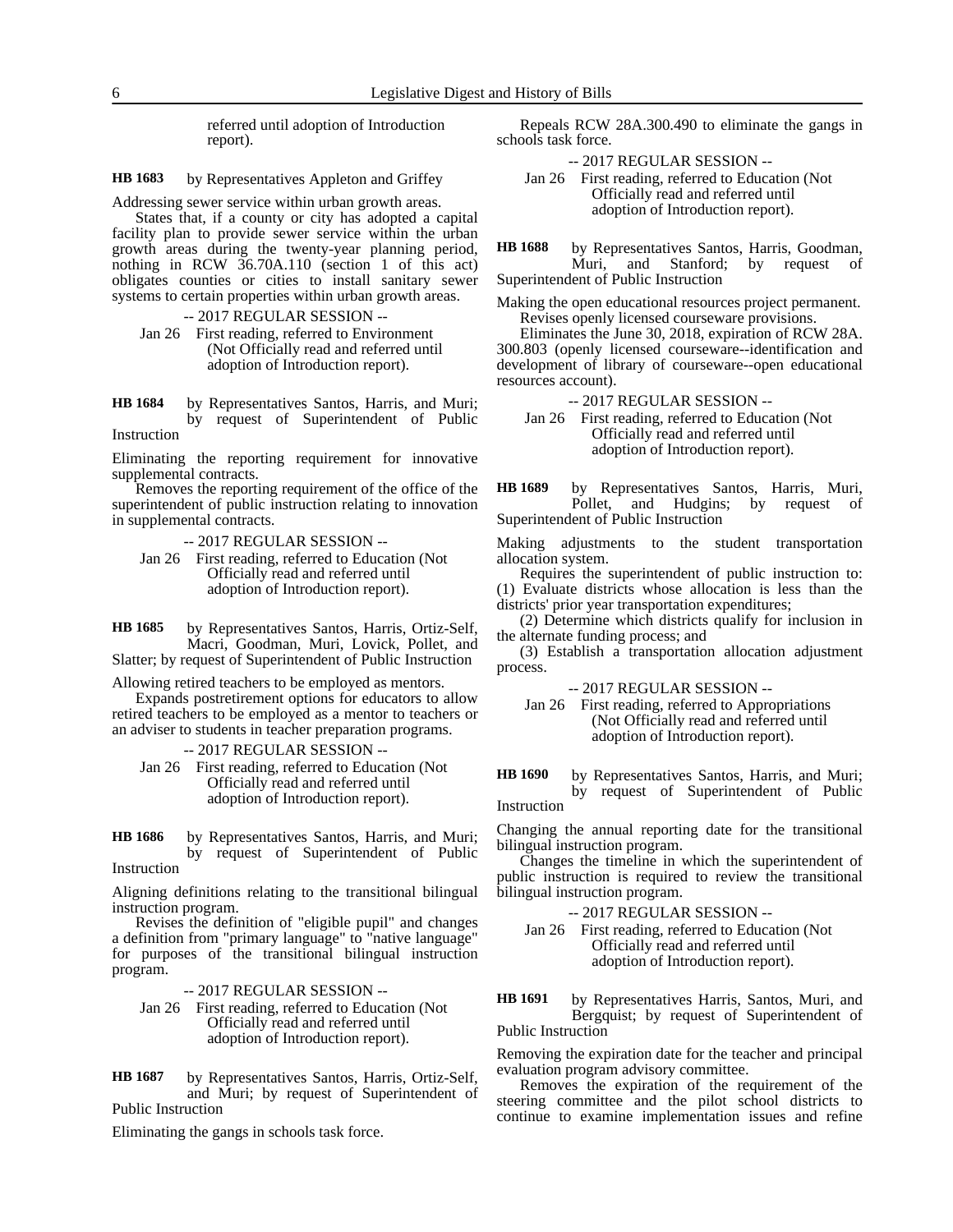referred until adoption of Introduction report).

by Representatives Appleton and Griffey **HB 1683**

Addressing sewer service within urban growth areas.

States that, if a county or city has adopted a capital facility plan to provide sewer service within the urban growth areas during the twenty-year planning period, nothing in RCW 36.70A.110 (section 1 of this act) obligates counties or cities to install sanitary sewer systems to certain properties within urban growth areas.

-- 2017 REGULAR SESSION --

Jan 26 First reading, referred to Environment (Not Officially read and referred until adoption of Introduction report).

by Representatives Santos, Harris, and Muri; by request of Superintendent of Public **HB 1684**

Instruction

Eliminating the reporting requirement for innovative supplemental contracts.

Removes the reporting requirement of the office of the superintendent of public instruction relating to innovation in supplemental contracts.

-- 2017 REGULAR SESSION --

Jan 26 First reading, referred to Education (Not Officially read and referred until adoption of Introduction report).

by Representatives Santos, Harris, Ortiz-Self, Macri, Goodman, Muri, Lovick, Pollet, and Slatter; by request of Superintendent of Public Instruction **HB 1685**

Allowing retired teachers to be employed as mentors.

Expands postretirement options for educators to allow retired teachers to be employed as a mentor to teachers or an adviser to students in teacher preparation programs.

-- 2017 REGULAR SESSION --

Jan 26 First reading, referred to Education (Not Officially read and referred until adoption of Introduction report).

by Representatives Santos, Harris, and Muri; by request of Superintendent of Public Instruction **HB 1686**

Aligning definitions relating to the transitional bilingual instruction program.

Revises the definition of "eligible pupil" and changes a definition from "primary language" to "native language" for purposes of the transitional bilingual instruction program.

-- 2017 REGULAR SESSION --

- Jan 26 First reading, referred to Education (Not Officially read and referred until adoption of Introduction report).
- by Representatives Santos, Harris, Ortiz-Self, and Muri; by request of Superintendent of Public Instruction **HB 1687**

Eliminating the gangs in schools task force.

Repeals RCW 28A.300.490 to eliminate the gangs in schools task force.

-- 2017 REGULAR SESSION --

Jan 26 First reading, referred to Education (Not Officially read and referred until adoption of Introduction report).

by Representatives Santos, Harris, Goodman,<br>Muri, and Stanford; by request of Muri, and Stanford; Superintendent of Public Instruction **HB 1688**

Making the open educational resources project permanent. Revises openly licensed courseware provisions.

Eliminates the June 30, 2018, expiration of RCW 28A. 300.803 (openly licensed courseware--identification and development of library of courseware--open educational resources account).

-- 2017 REGULAR SESSION --

Jan 26 First reading, referred to Education (Not Officially read and referred until adoption of Introduction report).

by Representatives Santos, Harris, Muri, Pollet, and Hudgins; by request of Superintendent of Public Instruction **HB 1689**

Making adjustments to the student transportation allocation system.

Requires the superintendent of public instruction to: (1) Evaluate districts whose allocation is less than the districts' prior year transportation expenditures;

(2) Determine which districts qualify for inclusion in the alternate funding process; and

(3) Establish a transportation allocation adjustment process.

-- 2017 REGULAR SESSION --

Jan 26 First reading, referred to Appropriations (Not Officially read and referred until adoption of Introduction report).

by Representatives Santos, Harris, and Muri; by request of Superintendent of Public Instruction **HB 1690**

Changing the annual reporting date for the transitional bilingual instruction program.

Changes the timeline in which the superintendent of public instruction is required to review the transitional bilingual instruction program.

-- 2017 REGULAR SESSION --

Jan 26 First reading, referred to Education (Not Officially read and referred until adoption of Introduction report).

by Representatives Harris, Santos, Muri, and Bergquist; by request of Superintendent of Public Instruction **HB 1691**

Removing the expiration date for the teacher and principal evaluation program advisory committee.

Removes the expiration of the requirement of the steering committee and the pilot school districts to continue to examine implementation issues and refine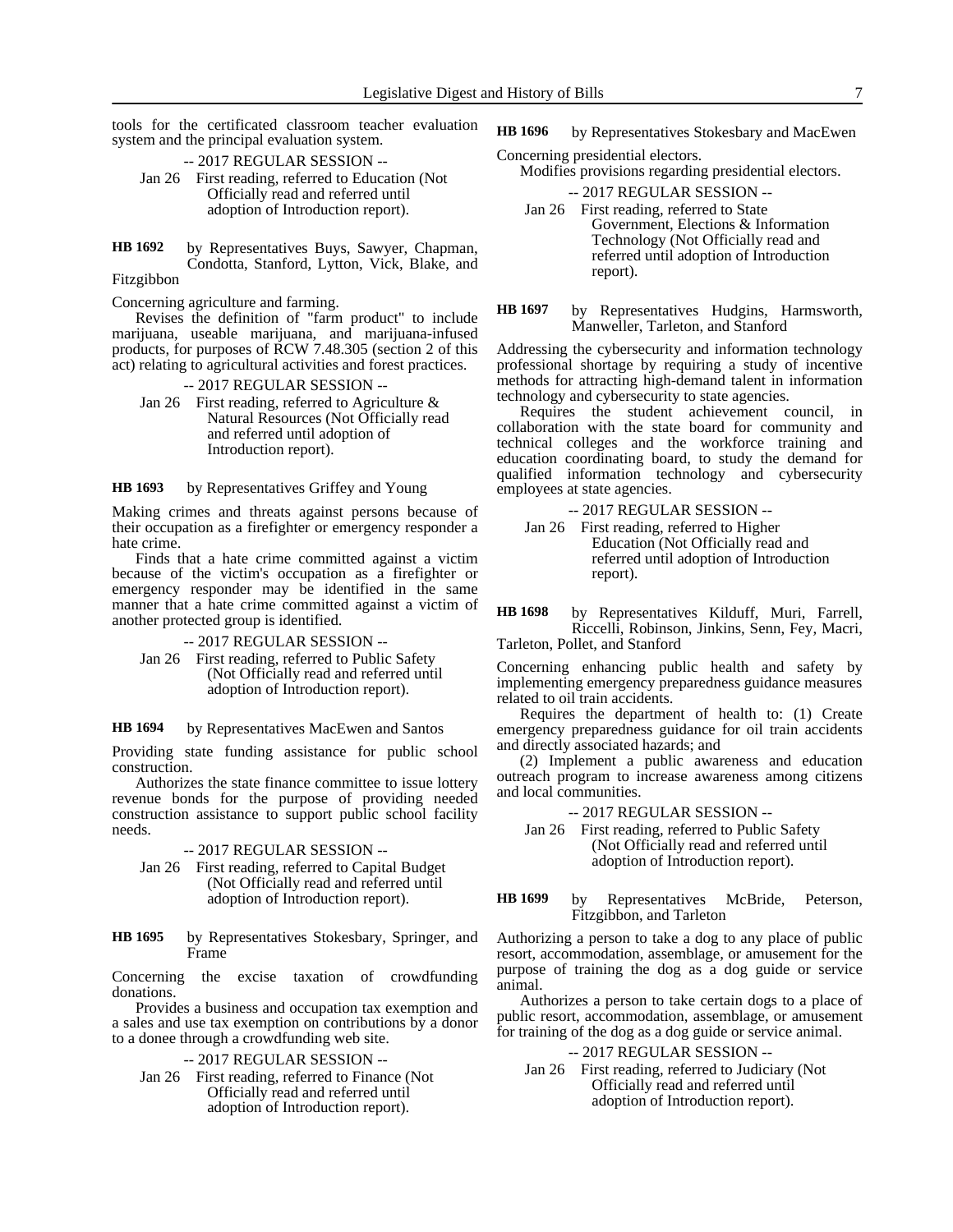tools for the certificated classroom teacher evaluation system and the principal evaluation system.

- -- 2017 REGULAR SESSION -- Jan 26 First reading, referred to Education (Not Officially read and referred until adoption of Introduction report).
- by Representatives Buys, Sawyer, Chapman, Condotta, Stanford, Lytton, Vick, Blake, and **HB 1692**

### Fitzgibbon

Concerning agriculture and farming.

Revises the definition of "farm product" to include marijuana, useable marijuana, and marijuana-infused products, for purposes of RCW 7.48.305 (section 2 of this act) relating to agricultural activities and forest practices.

#### -- 2017 REGULAR SESSION --

Jan 26 First reading, referred to Agriculture & Natural Resources (Not Officially read and referred until adoption of Introduction report).

by Representatives Griffey and Young **HB 1693**

Making crimes and threats against persons because of their occupation as a firefighter or emergency responder a hate crime.

Finds that a hate crime committed against a victim because of the victim's occupation as a firefighter or emergency responder may be identified in the same manner that a hate crime committed against a victim of another protected group is identified.

-- 2017 REGULAR SESSION --

Jan 26 First reading, referred to Public Safety (Not Officially read and referred until adoption of Introduction report).

by Representatives MacEwen and Santos **HB 1694**

Providing state funding assistance for public school construction.

Authorizes the state finance committee to issue lottery revenue bonds for the purpose of providing needed construction assistance to support public school facility needs.

-- 2017 REGULAR SESSION --

- Jan 26 First reading, referred to Capital Budget (Not Officially read and referred until adoption of Introduction report).
- by Representatives Stokesbary, Springer, and Frame **HB 1695**

Concerning the excise taxation of crowdfunding donations.

Provides a business and occupation tax exemption and a sales and use tax exemption on contributions by a donor to a donee through a crowdfunding web site.

-- 2017 REGULAR SESSION --

Jan 26 First reading, referred to Finance (Not Officially read and referred until adoption of Introduction report).

- by Representatives Stokesbary and MacEwen **HB 1696**
- Concerning presidential electors. Modifies provisions regarding presidential electors.
	- -- 2017 REGULAR SESSION -- Jan 26 First reading, referred to State Government, Elections & Information Technology (Not Officially read and referred until adoption of Introduction report).
- by Representatives Hudgins, Harmsworth, Manweller, Tarleton, and Stanford **HB 1697**

Addressing the cybersecurity and information technology professional shortage by requiring a study of incentive methods for attracting high-demand talent in information technology and cybersecurity to state agencies.

Requires the student achievement council, in collaboration with the state board for community and technical colleges and the workforce training and education coordinating board, to study the demand for qualified information technology and cybersecurity employees at state agencies.

-- 2017 REGULAR SESSION -- Jan 26 First reading, referred to Higher Education (Not Officially read and referred until adoption of Introduction report).

by Representatives Kilduff, Muri, Farrell, Riccelli, Robinson, Jinkins, Senn, Fey, Macri, Tarleton, Pollet, and Stanford **HB 1698**

Concerning enhancing public health and safety by implementing emergency preparedness guidance measures related to oil train accidents.

Requires the department of health to: (1) Create emergency preparedness guidance for oil train accidents and directly associated hazards; and

(2) Implement a public awareness and education outreach program to increase awareness among citizens and local communities.

-- 2017 REGULAR SESSION --

Jan 26 First reading, referred to Public Safety (Not Officially read and referred until adoption of Introduction report).

by Representatives McBride, Peterson, Fitzgibbon, and Tarleton **HB 1699**

Authorizing a person to take a dog to any place of public resort, accommodation, assemblage, or amusement for the purpose of training the dog as a dog guide or service animal.

Authorizes a person to take certain dogs to a place of public resort, accommodation, assemblage, or amusement for training of the dog as a dog guide or service animal.

### -- 2017 REGULAR SESSION --

Jan 26 First reading, referred to Judiciary (Not Officially read and referred until adoption of Introduction report).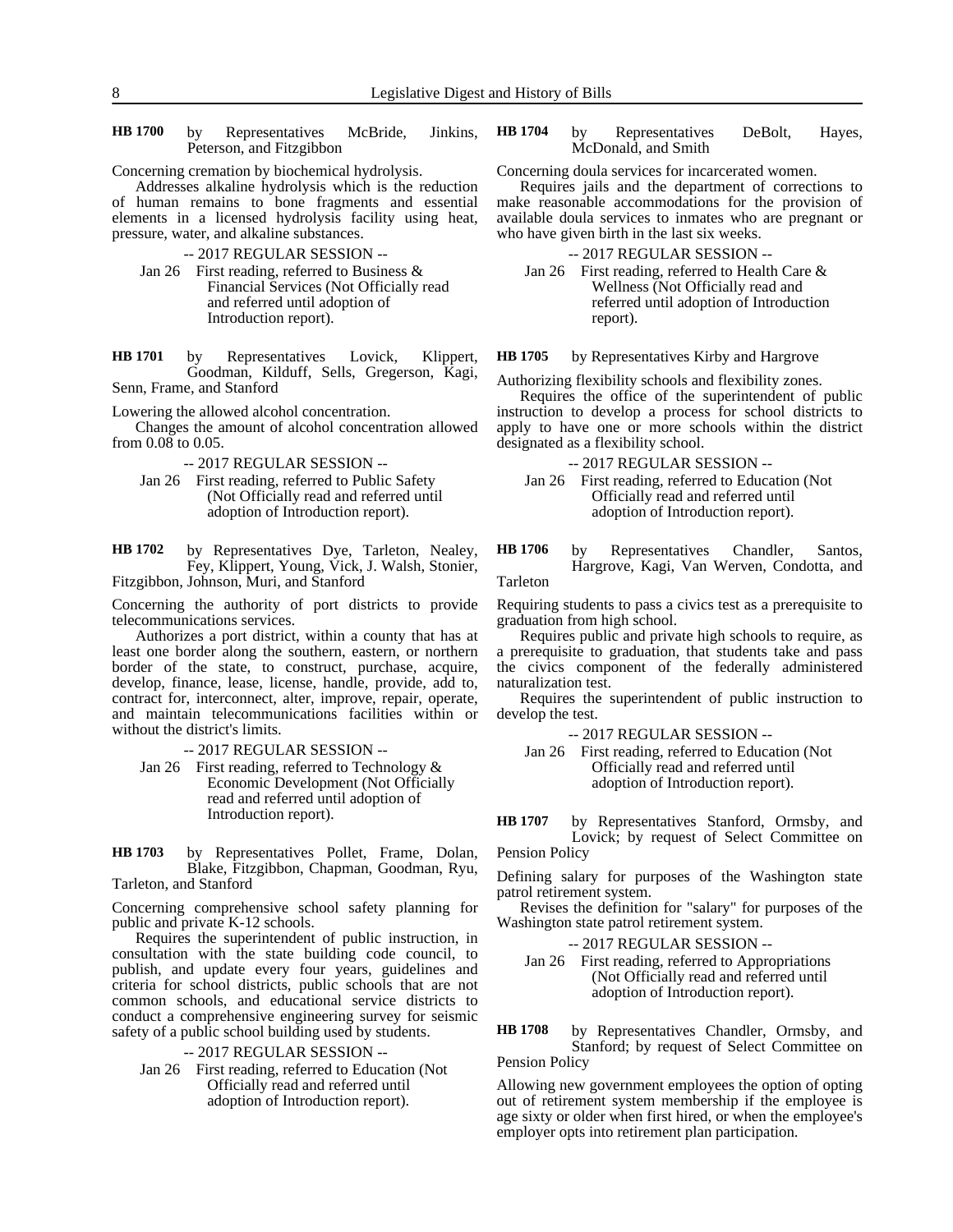by Representatives McBride, Jinkins, Peterson, and Fitzgibbon **HB 1700**

Concerning cremation by biochemical hydrolysis.

Addresses alkaline hydrolysis which is the reduction of human remains to bone fragments and essential elements in a licensed hydrolysis facility using heat, pressure, water, and alkaline substances.

-- 2017 REGULAR SESSION --

Jan 26 First reading, referred to Business & Financial Services (Not Officially read and referred until adoption of Introduction report).

by Representatives Lovick, Klippert, Goodman, Kilduff, Sells, Gregerson, Kagi, Senn, Frame, and Stanford **HB 1701**

Lowering the allowed alcohol concentration.

Changes the amount of alcohol concentration allowed from 0.08 to 0.05.

-- 2017 REGULAR SESSION --

Jan 26 First reading, referred to Public Safety (Not Officially read and referred until adoption of Introduction report).

by Representatives Dye, Tarleton, Nealey, Fey, Klippert, Young, Vick, J. Walsh, Stonier, Fitzgibbon, Johnson, Muri, and Stanford **HB 1702**

Concerning the authority of port districts to provide telecommunications services.

Authorizes a port district, within a county that has at least one border along the southern, eastern, or northern border of the state, to construct, purchase, acquire, develop, finance, lease, license, handle, provide, add to, contract for, interconnect, alter, improve, repair, operate, and maintain telecommunications facilities within or without the district's limits.

-- 2017 REGULAR SESSION --

- Jan 26 First reading, referred to Technology & Economic Development (Not Officially read and referred until adoption of Introduction report).
- by Representatives Pollet, Frame, Dolan, Blake, Fitzgibbon, Chapman, Goodman, Ryu, Tarleton, and Stanford **HB 1703**

Concerning comprehensive school safety planning for public and private K-12 schools.

Requires the superintendent of public instruction, in consultation with the state building code council, to publish, and update every four years, guidelines and criteria for school districts, public schools that are not common schools, and educational service districts to conduct a comprehensive engineering survey for seismic safety of a public school building used by students.

-- 2017 REGULAR SESSION --

Jan 26 First reading, referred to Education (Not Officially read and referred until adoption of Introduction report).

by Representatives DeBolt, Hayes, McDonald, and Smith **HB 1704**

Concerning doula services for incarcerated women.

Requires jails and the department of corrections to make reasonable accommodations for the provision of available doula services to inmates who are pregnant or who have given birth in the last six weeks.

-- 2017 REGULAR SESSION --

Jan 26 First reading, referred to Health Care & Wellness (Not Officially read and referred until adoption of Introduction report).

by Representatives Kirby and Hargrove **HB 1705**

Authorizing flexibility schools and flexibility zones.

Requires the office of the superintendent of public instruction to develop a process for school districts to apply to have one or more schools within the district designated as a flexibility school.

-- 2017 REGULAR SESSION --

Jan 26 First reading, referred to Education (Not Officially read and referred until adoption of Introduction report).

by Representatives Chandler, Santos, Hargrove, Kagi, Van Werven, Condotta, and Tarleton **HB 1706**

Requiring students to pass a civics test as a prerequisite to graduation from high school.

Requires public and private high schools to require, as a prerequisite to graduation, that students take and pass the civics component of the federally administered naturalization test.

Requires the superintendent of public instruction to develop the test.

-- 2017 REGULAR SESSION --

Jan 26 First reading, referred to Education (Not Officially read and referred until adoption of Introduction report).

by Representatives Stanford, Ormsby, and Lovick; by request of Select Committee on Pension Policy **HB 1707**

Defining salary for purposes of the Washington state patrol retirement system.

Revises the definition for "salary" for purposes of the Washington state patrol retirement system.

-- 2017 REGULAR SESSION --

Jan 26 First reading, referred to Appropriations (Not Officially read and referred until adoption of Introduction report).

by Representatives Chandler, Ormsby, and Stanford; by request of Select Committee on Pension Policy **HB 1708**

Allowing new government employees the option of opting out of retirement system membership if the employee is age sixty or older when first hired, or when the employee's employer opts into retirement plan participation.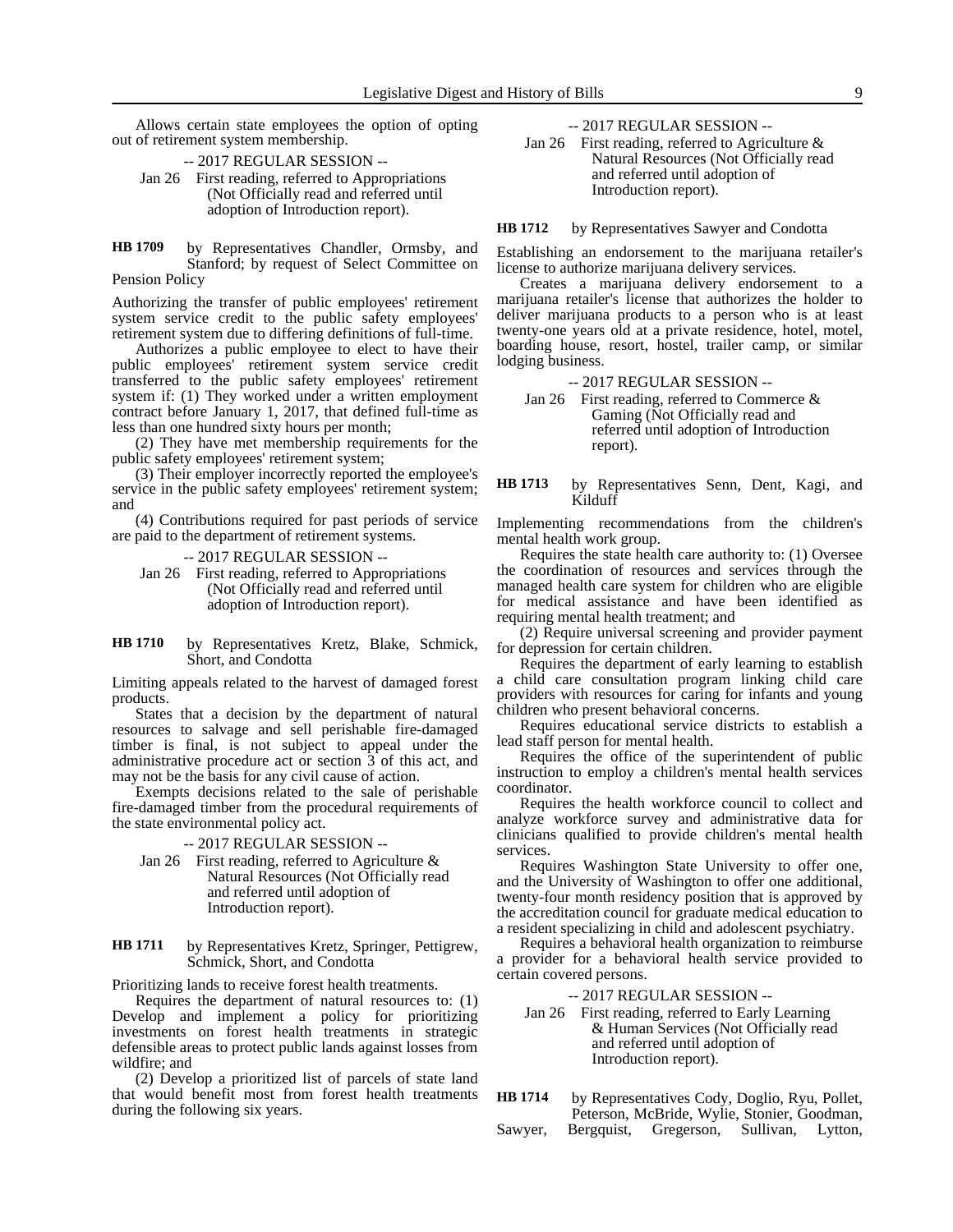Allows certain state employees the option of opting out of retirement system membership.

-- 2017 REGULAR SESSION --

Jan 26 First reading, referred to Appropriations (Not Officially read and referred until adoption of Introduction report).

by Representatives Chandler, Ormsby, and Stanford; by request of Select Committee on Pension Policy **HB 1709**

Authorizing the transfer of public employees' retirement system service credit to the public safety employees' retirement system due to differing definitions of full-time.

Authorizes a public employee to elect to have their public employees' retirement system service credit transferred to the public safety employees' retirement system if: (1) They worked under a written employment contract before January 1, 2017, that defined full-time as less than one hundred sixty hours per month;

(2) They have met membership requirements for the public safety employees' retirement system;

(3) Their employer incorrectly reported the employee's service in the public safety employees' retirement system; and

(4) Contributions required for past periods of service are paid to the department of retirement systems.

-- 2017 REGULAR SESSION --

- Jan 26 First reading, referred to Appropriations (Not Officially read and referred until adoption of Introduction report).
- by Representatives Kretz, Blake, Schmick, Short, and Condotta **HB 1710**

Limiting appeals related to the harvest of damaged forest products.

States that a decision by the department of natural resources to salvage and sell perishable fire-damaged timber is final, is not subject to appeal under the administrative procedure act or section 3 of this act, and may not be the basis for any civil cause of action.

Exempts decisions related to the sale of perishable fire-damaged timber from the procedural requirements of the state environmental policy act.

### -- 2017 REGULAR SESSION --

Jan 26 First reading, referred to Agriculture & Natural Resources (Not Officially read and referred until adoption of Introduction report).

by Representatives Kretz, Springer, Pettigrew, Schmick, Short, and Condotta **HB 1711**

Prioritizing lands to receive forest health treatments.

Requires the department of natural resources to: (1) Develop and implement a policy for prioritizing investments on forest health treatments in strategic defensible areas to protect public lands against losses from wildfire; and

(2) Develop a prioritized list of parcels of state land that would benefit most from forest health treatments during the following six years.

-- 2017 REGULAR SESSION --

Jan 26 First reading, referred to Agriculture & Natural Resources (Not Officially read and referred until adoption of Introduction report).

by Representatives Sawyer and Condotta **HB 1712**

Establishing an endorsement to the marijuana retailer's license to authorize marijuana delivery services.

Creates a marijuana delivery endorsement to a marijuana retailer's license that authorizes the holder to deliver marijuana products to a person who is at least twenty-one years old at a private residence, hotel, motel, boarding house, resort, hostel, trailer camp, or similar lodging business.

-- 2017 REGULAR SESSION --

Jan 26 First reading, referred to Commerce & Gaming (Not Officially read and referred until adoption of Introduction report).

by Representatives Senn, Dent, Kagi, and Kilduff **HB 1713**

Implementing recommendations from the children's mental health work group.

Requires the state health care authority to: (1) Oversee the coordination of resources and services through the managed health care system for children who are eligible for medical assistance and have been identified as requiring mental health treatment; and

(2) Require universal screening and provider payment for depression for certain children.

Requires the department of early learning to establish a child care consultation program linking child care providers with resources for caring for infants and young children who present behavioral concerns.

Requires educational service districts to establish a lead staff person for mental health.

Requires the office of the superintendent of public instruction to employ a children's mental health services coordinator.

Requires the health workforce council to collect and analyze workforce survey and administrative data for clinicians qualified to provide children's mental health services.

Requires Washington State University to offer one, and the University of Washington to offer one additional, twenty-four month residency position that is approved by the accreditation council for graduate medical education to a resident specializing in child and adolescent psychiatry.

Requires a behavioral health organization to reimburse a provider for a behavioral health service provided to certain covered persons.

-- 2017 REGULAR SESSION --

Jan 26 First reading, referred to Early Learning & Human Services (Not Officially read and referred until adoption of Introduction report).

by Representatives Cody, Doglio, Ryu, Pollet, Peterson, McBride, Wylie, Stonier, Goodman, Sawyer, Bergquist, Gregerson, Sullivan, Lytton, **HB 1714**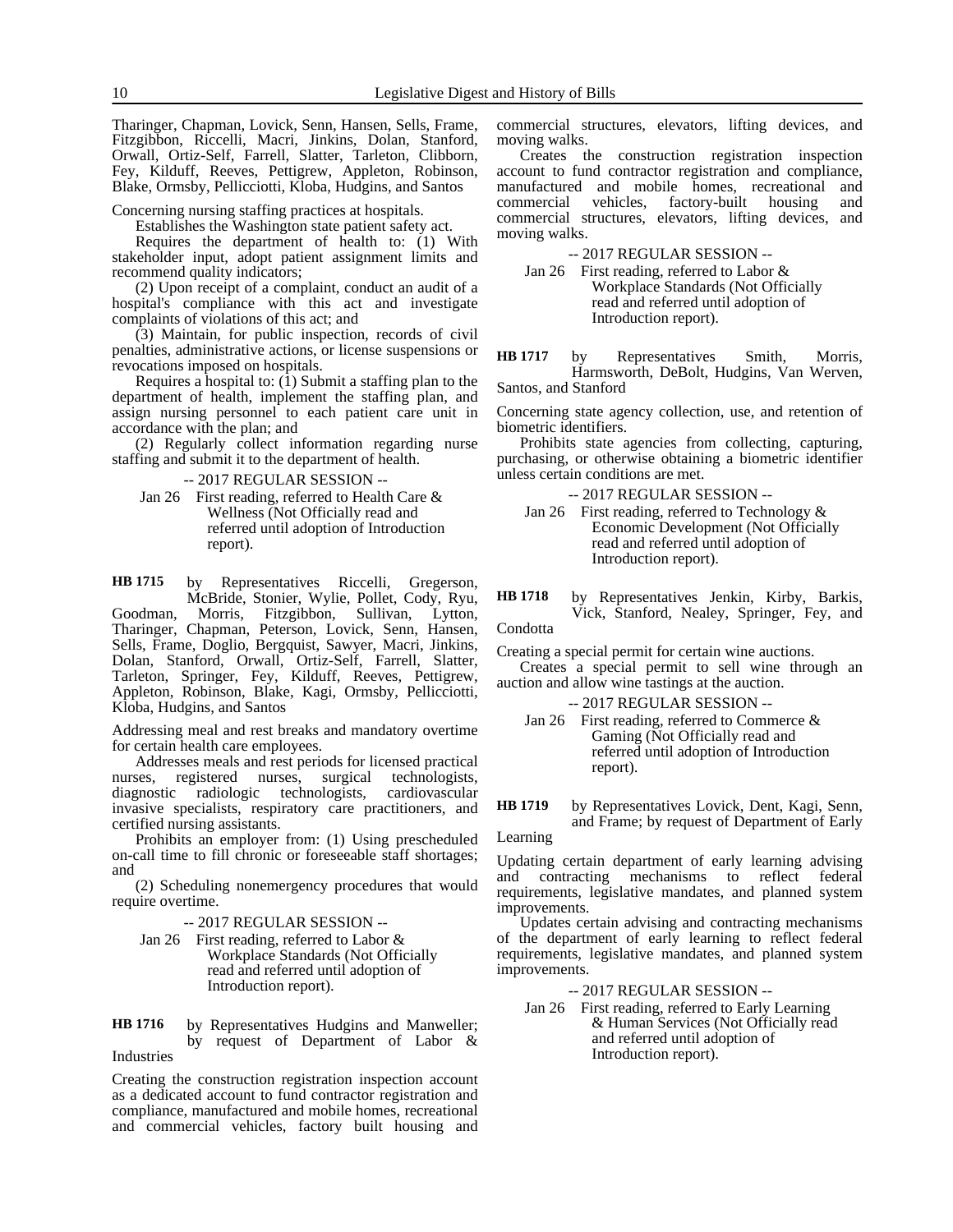Tharinger, Chapman, Lovick, Senn, Hansen, Sells, Frame, Fitzgibbon, Riccelli, Macri, Jinkins, Dolan, Stanford, Orwall, Ortiz-Self, Farrell, Slatter, Tarleton, Clibborn, Fey, Kilduff, Reeves, Pettigrew, Appleton, Robinson, Blake, Ormsby, Pellicciotti, Kloba, Hudgins, and Santos

Concerning nursing staffing practices at hospitals.

Establishes the Washington state patient safety act.

Requires the department of health to: (1) With stakeholder input, adopt patient assignment limits and recommend quality indicators;

(2) Upon receipt of a complaint, conduct an audit of a hospital's compliance with this act and investigate complaints of violations of this act; and

(3) Maintain, for public inspection, records of civil penalties, administrative actions, or license suspensions or revocations imposed on hospitals.

Requires a hospital to: (1) Submit a staffing plan to the department of health, implement the staffing plan, and assign nursing personnel to each patient care unit in accordance with the plan; and

(2) Regularly collect information regarding nurse staffing and submit it to the department of health.

-- 2017 REGULAR SESSION --

Jan 26 First reading, referred to Health Care & Wellness (Not Officially read and referred until adoption of Introduction report).

by Representatives Riccelli, Gregerson, **HB 1715**

McBride, Stonier, Wylie, Pollet, Cody, Ryu, Morris, Fitzgibbon, Sullivan, Lytton, Goodman, Morris, Fitzgibbon, Sullivan, Lytton, Tharinger, Chapman, Peterson, Lovick, Senn, Hansen, Sells, Frame, Doglio, Bergquist, Sawyer, Macri, Jinkins, Dolan, Stanford, Orwall, Ortiz-Self, Farrell, Slatter, Tarleton, Springer, Fey, Kilduff, Reeves, Pettigrew, Appleton, Robinson, Blake, Kagi, Ormsby, Pellicciotti, Kloba, Hudgins, and Santos

Addressing meal and rest breaks and mandatory overtime for certain health care employees.

Addresses meals and rest periods for licensed practical ses, registered nurses, surgical technologists, nurses, registered nurses, surgical technologists, diagnostic radiologic technologists, cardiovascular technologists, invasive specialists, respiratory care practitioners, and certified nursing assistants.

Prohibits an employer from: (1) Using prescheduled on-call time to fill chronic or foreseeable staff shortages; and

(2) Scheduling nonemergency procedures that would require overtime.

-- 2017 REGULAR SESSION --

Jan 26 First reading, referred to Labor & Workplace Standards (Not Officially read and referred until adoption of Introduction report).

by Representatives Hudgins and Manweller; by request of Department of Labor & Industries **HB 1716**

Creating the construction registration inspection account as a dedicated account to fund contractor registration and compliance, manufactured and mobile homes, recreational and commercial vehicles, factory built housing and commercial structures, elevators, lifting devices, and moving walks.

Creates the construction registration inspection account to fund contractor registration and compliance, manufactured and mobile homes, recreational and commercial vehicles, factory-built housing and commercial vehicles, factory-built housing and commercial structures, elevators, lifting devices, and moving walks.

-- 2017 REGULAR SESSION --

Jan 26 First reading, referred to Labor & Workplace Standards (Not Officially read and referred until adoption of Introduction report).

by Representatives Smith, Morris, Harmsworth, DeBolt, Hudgins, Van Werven, Santos, and Stanford **HB 1717**

Concerning state agency collection, use, and retention of biometric identifiers.

Prohibits state agencies from collecting, capturing, purchasing, or otherwise obtaining a biometric identifier unless certain conditions are met.

-- 2017 REGULAR SESSION --

- Jan 26 First reading, referred to Technology & Economic Development (Not Officially read and referred until adoption of Introduction report).
- by Representatives Jenkin, Kirby, Barkis, Vick, Stanford, Nealey, Springer, Fey, and **HB 1718**

Condotta

Creating a special permit for certain wine auctions.

Creates a special permit to sell wine through an auction and allow wine tastings at the auction.

-- 2017 REGULAR SESSION --

Jan 26 First reading, referred to Commerce & Gaming (Not Officially read and referred until adoption of Introduction report).

by Representatives Lovick, Dent, Kagi, Senn, and Frame; by request of Department of Early **HB 1719**

Learning

Updating certain department of early learning advising and contracting mechanisms to reflect federal requirements, legislative mandates, and planned system improvements.

Updates certain advising and contracting mechanisms of the department of early learning to reflect federal requirements, legislative mandates, and planned system improvements.

-- 2017 REGULAR SESSION --

Jan 26 First reading, referred to Early Learning & Human Services (Not Officially read and referred until adoption of Introduction report).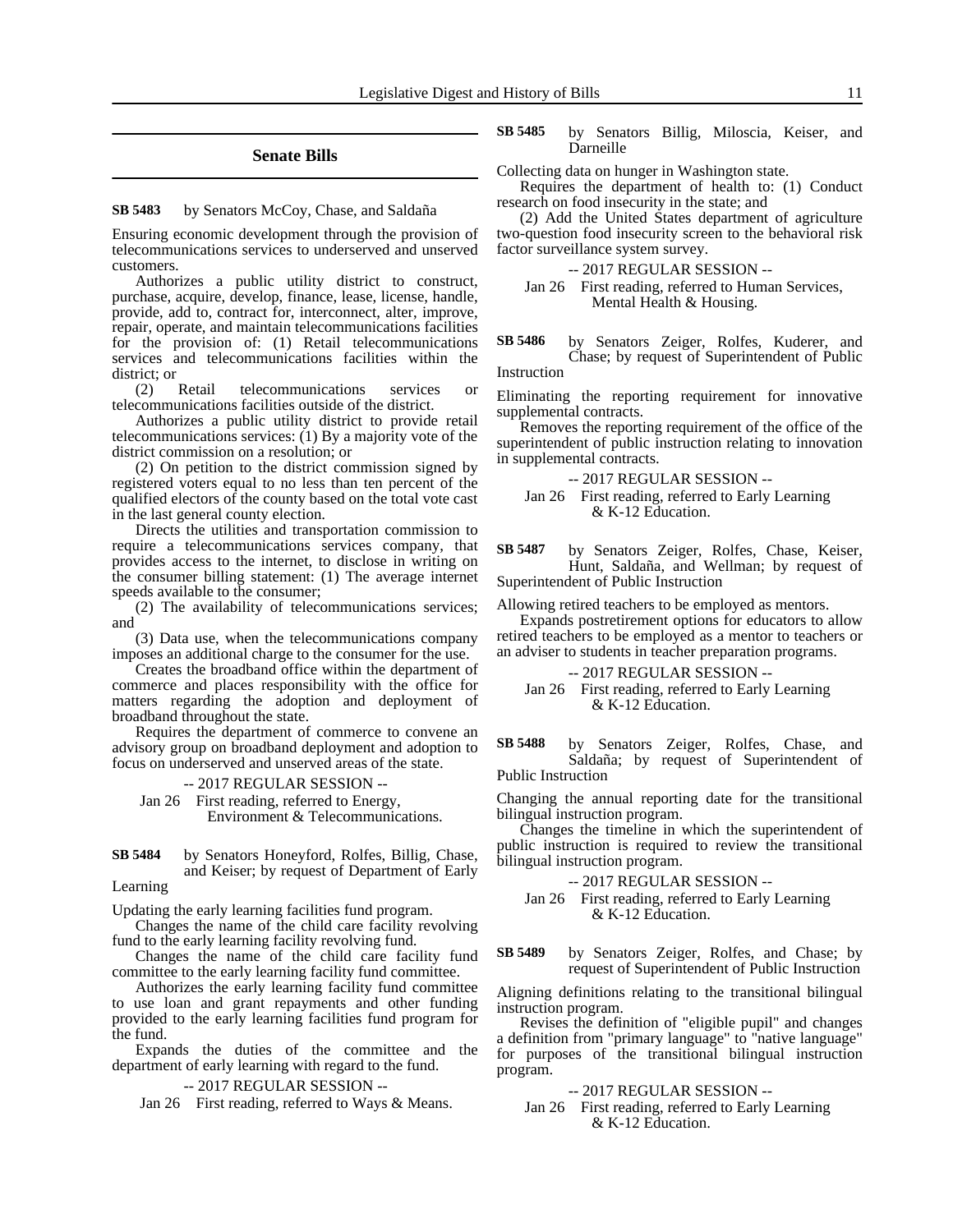### **Senate Bills**

#### by Senators McCoy, Chase, and Saldaña **SB 5483**

Ensuring economic development through the provision of telecommunications services to underserved and unserved customers.

Authorizes a public utility district to construct, purchase, acquire, develop, finance, lease, license, handle, provide, add to, contract for, interconnect, alter, improve, repair, operate, and maintain telecommunications facilities for the provision of: (1) Retail telecommunications services and telecommunications facilities within the district; or

(2) Retail telecommunications services or telecommunications facilities outside of the district.

Authorizes a public utility district to provide retail telecommunications services: (1) By a majority vote of the district commission on a resolution; or

(2) On petition to the district commission signed by registered voters equal to no less than ten percent of the qualified electors of the county based on the total vote cast in the last general county election.

Directs the utilities and transportation commission to require a telecommunications services company, that provides access to the internet, to disclose in writing on the consumer billing statement: (1) The average internet speeds available to the consumer;

(2) The availability of telecommunications services; and

(3) Data use, when the telecommunications company imposes an additional charge to the consumer for the use.

Creates the broadband office within the department of commerce and places responsibility with the office for matters regarding the adoption and deployment of broadband throughout the state.

Requires the department of commerce to convene an advisory group on broadband deployment and adoption to focus on underserved and unserved areas of the state.

-- 2017 REGULAR SESSION --

Jan 26 First reading, referred to Energy, Environment & Telecommunications.

by Senators Honeyford, Rolfes, Billig, Chase, and Keiser; by request of Department of Early **SB 5484**

### Learning

Updating the early learning facilities fund program.

Changes the name of the child care facility revolving fund to the early learning facility revolving fund.

Changes the name of the child care facility fund committee to the early learning facility fund committee.

Authorizes the early learning facility fund committee to use loan and grant repayments and other funding provided to the early learning facilities fund program for the fund.

Expands the duties of the committee and the department of early learning with regard to the fund.

-- 2017 REGULAR SESSION --

Jan 26 First reading, referred to Ways & Means.

by Senators Billig, Miloscia, Keiser, and Darneille **SB 5485**

Collecting data on hunger in Washington state.

Requires the department of health to: (1) Conduct research on food insecurity in the state; and

(2) Add the United States department of agriculture two-question food insecurity screen to the behavioral risk factor surveillance system survey.

#### -- 2017 REGULAR SESSION --

Jan 26 First reading, referred to Human Services, Mental Health & Housing.

by Senators Zeiger, Rolfes, Kuderer, and Chase; by request of Superintendent of Public **SB 5486**

Instruction

Eliminating the reporting requirement for innovative supplemental contracts.

Removes the reporting requirement of the office of the superintendent of public instruction relating to innovation in supplemental contracts.

-- 2017 REGULAR SESSION --

Jan 26 First reading, referred to Early Learning & K-12 Education.

by Senators Zeiger, Rolfes, Chase, Keiser, Hunt, Saldaña, and Wellman; by request of Superintendent of Public Instruction **SB 5487**

Allowing retired teachers to be employed as mentors.

Expands postretirement options for educators to allow retired teachers to be employed as a mentor to teachers or an adviser to students in teacher preparation programs.

### -- 2017 REGULAR SESSION --

Jan 26 First reading, referred to Early Learning & K-12 Education.

by Senators Zeiger, Rolfes, Chase, and Saldaña; by request of Superintendent of Public Instruction **SB 5488**

Changing the annual reporting date for the transitional bilingual instruction program.

Changes the timeline in which the superintendent of public instruction is required to review the transitional bilingual instruction program.

-- 2017 REGULAR SESSION --

Jan 26 First reading, referred to Early Learning & K-12 Education.

by Senators Zeiger, Rolfes, and Chase; by request of Superintendent of Public Instruction **SB 5489**

Aligning definitions relating to the transitional bilingual instruction program.

Revises the definition of "eligible pupil" and changes a definition from "primary language" to "native language" for purposes of the transitional bilingual instruction program.

#### -- 2017 REGULAR SESSION --

Jan 26 First reading, referred to Early Learning & K-12 Education.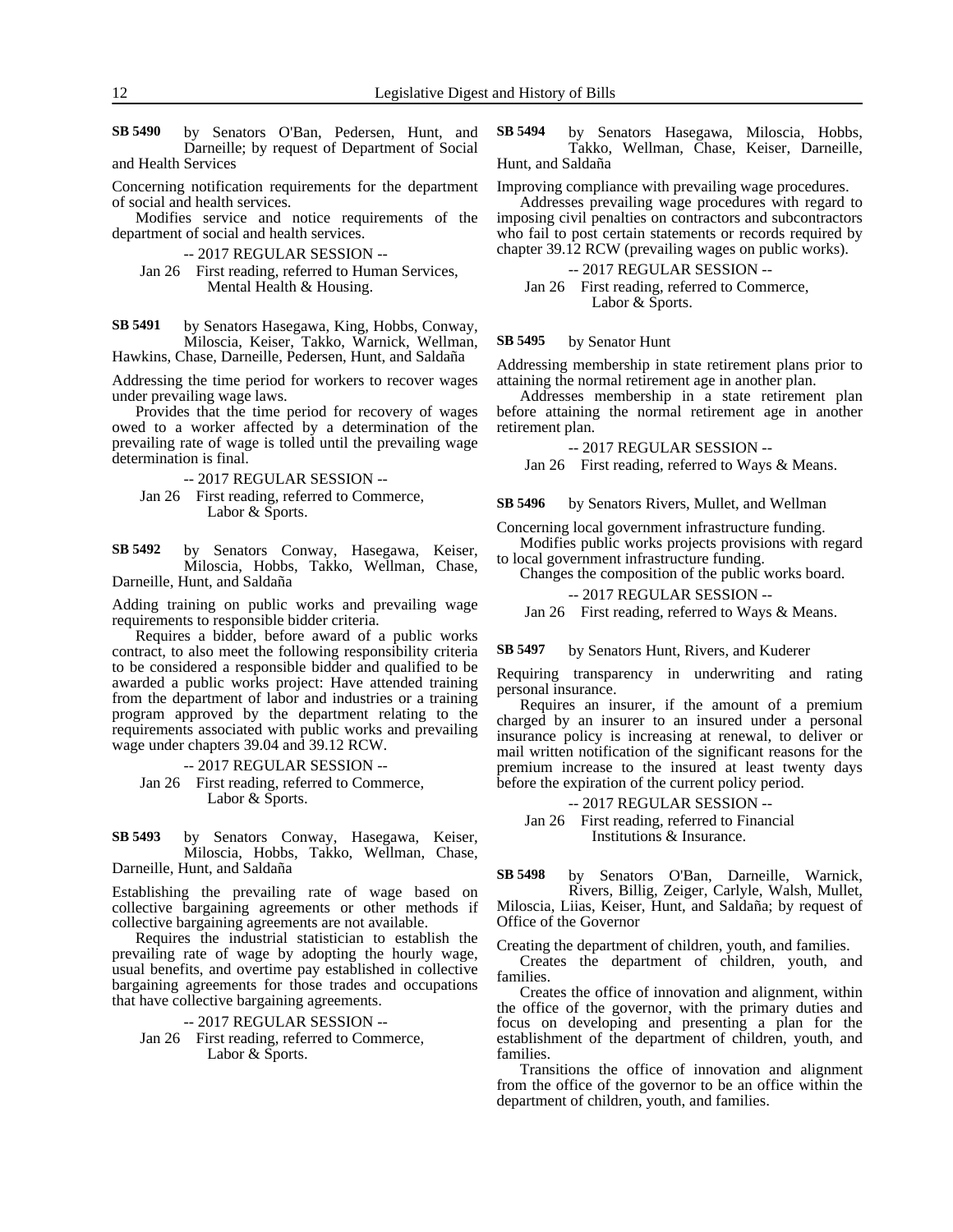by Senators O'Ban, Pedersen, Hunt, and Darneille; by request of Department of Social and Health Services **SB 5490**

Concerning notification requirements for the department of social and health services.

Modifies service and notice requirements of the department of social and health services.

-- 2017 REGULAR SESSION --

Jan 26 First reading, referred to Human Services, Mental Health & Housing.

by Senators Hasegawa, King, Hobbs, Conway, Miloscia, Keiser, Takko, Warnick, Wellman, Hawkins, Chase, Darneille, Pedersen, Hunt, and Saldaña **SB 5491**

Addressing the time period for workers to recover wages under prevailing wage laws.

Provides that the time period for recovery of wages owed to a worker affected by a determination of the prevailing rate of wage is tolled until the prevailing wage determination is final.

- -- 2017 REGULAR SESSION --
- Jan 26 First reading, referred to Commerce, Labor & Sports.

by Senators Conway, Hasegawa, Keiser, Miloscia, Hobbs, Takko, Wellman, Chase, Darneille, Hunt, and Saldaña **SB 5492**

Adding training on public works and prevailing wage requirements to responsible bidder criteria.

Requires a bidder, before award of a public works contract, to also meet the following responsibility criteria to be considered a responsible bidder and qualified to be awarded a public works project: Have attended training from the department of labor and industries or a training program approved by the department relating to the requirements associated with public works and prevailing wage under chapters 39.04 and 39.12 RCW.

-- 2017 REGULAR SESSION --

Jan 26 First reading, referred to Commerce, Labor & Sports.

by Senators Conway, Hasegawa, Keiser, Miloscia, Hobbs, Takko, Wellman, Chase, Darneille, Hunt, and Saldaña **SB 5493**

Establishing the prevailing rate of wage based on collective bargaining agreements or other methods if collective bargaining agreements are not available.

Requires the industrial statistician to establish the prevailing rate of wage by adopting the hourly wage, usual benefits, and overtime pay established in collective bargaining agreements for those trades and occupations that have collective bargaining agreements.

-- 2017 REGULAR SESSION --

Jan 26 First reading, referred to Commerce, Labor & Sports.

by Senators Hasegawa, Miloscia, Hobbs, Takko, Wellman, Chase, Keiser, Darneille, Hunt, and Saldaña **SB 5494**

Improving compliance with prevailing wage procedures.

Addresses prevailing wage procedures with regard to imposing civil penalties on contractors and subcontractors who fail to post certain statements or records required by chapter 39.12 RCW (prevailing wages on public works).

-- 2017 REGULAR SESSION --

Jan 26 First reading, referred to Commerce, Labor & Sports.

#### by Senator Hunt **SB 5495**

Addressing membership in state retirement plans prior to attaining the normal retirement age in another plan.

Addresses membership in a state retirement plan before attaining the normal retirement age in another retirement plan.

-- 2017 REGULAR SESSION --

Jan 26 First reading, referred to Ways & Means.

by Senators Rivers, Mullet, and Wellman **SB 5496**

Concerning local government infrastructure funding.

Modifies public works projects provisions with regard to local government infrastructure funding.

Changes the composition of the public works board.

-- 2017 REGULAR SESSION --

Jan 26 First reading, referred to Ways & Means.

by Senators Hunt, Rivers, and Kuderer **SB 5497**

Requiring transparency in underwriting and rating personal insurance.

Requires an insurer, if the amount of a premium charged by an insurer to an insured under a personal insurance policy is increasing at renewal, to deliver or mail written notification of the significant reasons for the premium increase to the insured at least twenty days before the expiration of the current policy period.

-- 2017 REGULAR SESSION --

Jan 26 First reading, referred to Financial Institutions & Insurance.

by Senators O'Ban, Darneille, Warnick, Rivers, Billig, Zeiger, Carlyle, Walsh, Mullet, Miloscia, Liias, Keiser, Hunt, and Saldaña; by request of Office of the Governor **SB 5498**

Creating the department of children, youth, and families.

Creates the department of children, youth, and families.

Creates the office of innovation and alignment, within the office of the governor, with the primary duties and focus on developing and presenting a plan for the establishment of the department of children, youth, and families.

Transitions the office of innovation and alignment from the office of the governor to be an office within the department of children, youth, and families.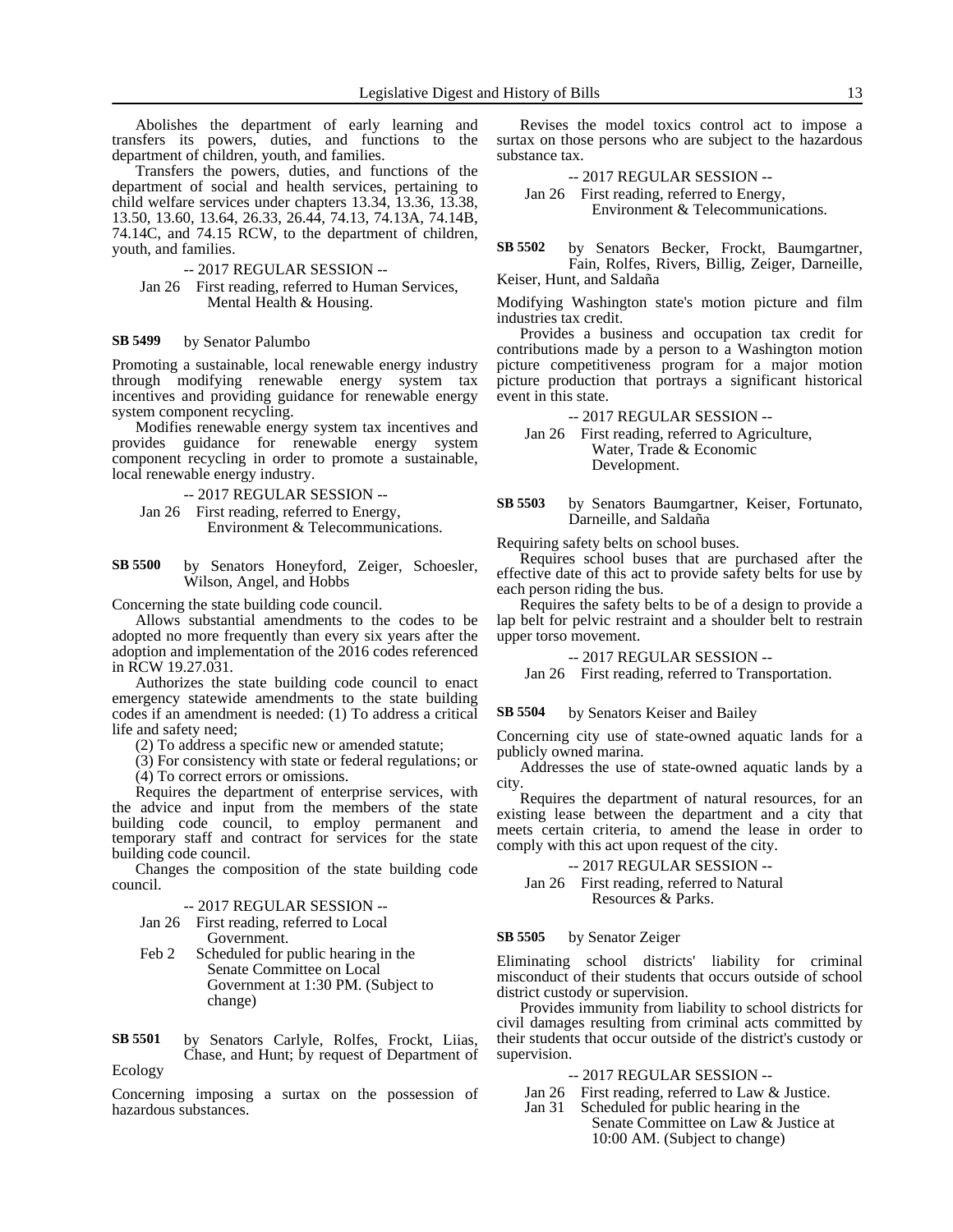Abolishes the department of early learning and transfers its powers, duties, and functions to the department of children, youth, and families.

Transfers the powers, duties, and functions of the department of social and health services, pertaining to child welfare services under chapters 13.34, 13.36, 13.38, 13.50, 13.60, 13.64, 26.33, 26.44, 74.13, 74.13A, 74.14B, 74.14C, and 74.15 RCW, to the department of children, youth, and families.

-- 2017 REGULAR SESSION --

Jan 26 First reading, referred to Human Services, Mental Health & Housing.

#### by Senator Palumbo **SB 5499**

Promoting a sustainable, local renewable energy industry through modifying renewable energy system tax incentives and providing guidance for renewable energy system component recycling.

Modifies renewable energy system tax incentives and provides guidance for renewable energy system component recycling in order to promote a sustainable, local renewable energy industry.

-- 2017 REGULAR SESSION -- Jan 26 First reading, referred to Energy, Environment & Telecommunications.

by Senators Honeyford, Zeiger, Schoesler, Wilson, Angel, and Hobbs **SB 5500**

Concerning the state building code council.

Allows substantial amendments to the codes to be adopted no more frequently than every six years after the adoption and implementation of the 2016 codes referenced in RCW 19.27.031.

Authorizes the state building code council to enact emergency statewide amendments to the state building codes if an amendment is needed: (1) To address a critical life and safety need;

(2) To address a specific new or amended statute;

(3) For consistency with state or federal regulations; or (4) To correct errors or omissions.

Requires the department of enterprise services, with the advice and input from the members of the state building code council, to employ permanent and temporary staff and contract for services for the state building code council.

Changes the composition of the state building code council.

#### -- 2017 REGULAR SESSION --

- Jan 26 First reading, referred to Local Government.
- Feb 2 Scheduled for public hearing in the Senate Committee on Local Government at 1:30 PM. (Subject to change)

by Senators Carlyle, Rolfes, Frockt, Liias, Chase, and Hunt; by request of Department of Ecology **SB 5501**

Concerning imposing a surtax on the possession of hazardous substances.

Revises the model toxics control act to impose a surtax on those persons who are subject to the hazardous substance tax.

-- 2017 REGULAR SESSION -- Jan 26 First reading, referred to Energy, Environment & Telecommunications.

by Senators Becker, Frockt, Baumgartner, Fain, Rolfes, Rivers, Billig, Zeiger, Darneille, Keiser, Hunt, and Saldaña **SB 5502**

Modifying Washington state's motion picture and film industries tax credit.

Provides a business and occupation tax credit for contributions made by a person to a Washington motion picture competitiveness program for a major motion picture production that portrays a significant historical event in this state.

-- 2017 REGULAR SESSION --

Jan 26 First reading, referred to Agriculture, Water, Trade & Economic Development.

by Senators Baumgartner, Keiser, Fortunato, Darneille, and Saldaña **SB 5503**

Requiring safety belts on school buses.

Requires school buses that are purchased after the effective date of this act to provide safety belts for use by each person riding the bus.

Requires the safety belts to be of a design to provide a lap belt for pelvic restraint and a shoulder belt to restrain upper torso movement.

-- 2017 REGULAR SESSION --

Jan 26 First reading, referred to Transportation.

by Senators Keiser and Bailey **SB 5504**

Concerning city use of state-owned aquatic lands for a publicly owned marina.

Addresses the use of state-owned aquatic lands by a city.

Requires the department of natural resources, for an existing lease between the department and a city that meets certain criteria, to amend the lease in order to comply with this act upon request of the city.

-- 2017 REGULAR SESSION --

Jan 26 First reading, referred to Natural Resources & Parks.

#### by Senator Zeiger **SB 5505**

Eliminating school districts' liability for criminal misconduct of their students that occurs outside of school district custody or supervision.

Provides immunity from liability to school districts for civil damages resulting from criminal acts committed by their students that occur outside of the district's custody or supervision.

### -- 2017 REGULAR SESSION --

- Jan 26 First reading, referred to Law & Justice.
- Jan 31 Scheduled for public hearing in the Senate Committee on Law & Justice at 10:00 AM. (Subject to change)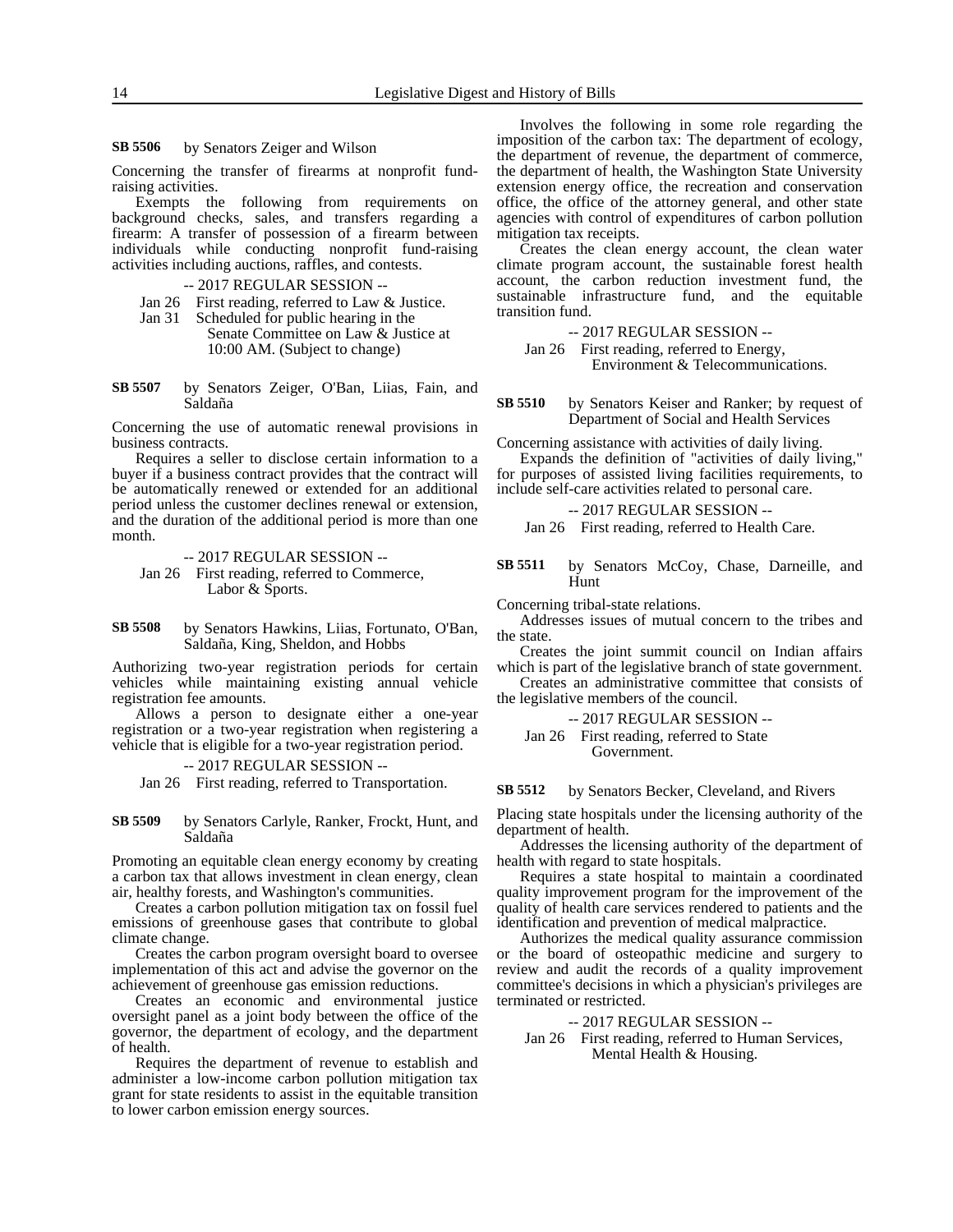#### by Senators Zeiger and Wilson **SB 5506**

Concerning the transfer of firearms at nonprofit fundraising activities.

Exempts the following from requirements on background checks, sales, and transfers regarding a firearm: A transfer of possession of a firearm between individuals while conducting nonprofit fund-raising activities including auctions, raffles, and contests.

-- 2017 REGULAR SESSION --

- Jan 26 First reading, referred to Law & Justice.
- Jan 31 Scheduled for public hearing in the Senate Committee on Law & Justice at 10:00 AM. (Subject to change)
- by Senators Zeiger, O'Ban, Liias, Fain, and Saldaña **SB 5507**

Concerning the use of automatic renewal provisions in business contracts.

Requires a seller to disclose certain information to a buyer if a business contract provides that the contract will be automatically renewed or extended for an additional period unless the customer declines renewal or extension, and the duration of the additional period is more than one month.

-- 2017 REGULAR SESSION --

- Jan 26 First reading, referred to Commerce, Labor & Sports.
- by Senators Hawkins, Liias, Fortunato, O'Ban, Saldaña, King, Sheldon, and Hobbs **SB 5508**

Authorizing two-year registration periods for certain vehicles while maintaining existing annual vehicle registration fee amounts.

Allows a person to designate either a one-year registration or a two-year registration when registering a vehicle that is eligible for a two-year registration period.

-- 2017 REGULAR SESSION --

Jan 26 First reading, referred to Transportation.

by Senators Carlyle, Ranker, Frockt, Hunt, and Saldaña **SB 5509**

Promoting an equitable clean energy economy by creating a carbon tax that allows investment in clean energy, clean air, healthy forests, and Washington's communities.

Creates a carbon pollution mitigation tax on fossil fuel emissions of greenhouse gases that contribute to global climate change.

Creates the carbon program oversight board to oversee implementation of this act and advise the governor on the achievement of greenhouse gas emission reductions.

Creates an economic and environmental justice oversight panel as a joint body between the office of the governor, the department of ecology, and the department of health.

Requires the department of revenue to establish and administer a low-income carbon pollution mitigation tax grant for state residents to assist in the equitable transition to lower carbon emission energy sources.

Involves the following in some role regarding the imposition of the carbon tax: The department of ecology, the department of revenue, the department of commerce, the department of health, the Washington State University extension energy office, the recreation and conservation office, the office of the attorney general, and other state agencies with control of expenditures of carbon pollution mitigation tax receipts.

Creates the clean energy account, the clean water climate program account, the sustainable forest health account, the carbon reduction investment fund, the sustainable infrastructure fund, and the equitable transition fund.

-- 2017 REGULAR SESSION --

Jan 26 First reading, referred to Energy, Environment & Telecommunications.

by Senators Keiser and Ranker; by request of Department of Social and Health Services **SB 5510**

Concerning assistance with activities of daily living.

Expands the definition of "activities of daily living," for purposes of assisted living facilities requirements, to include self-care activities related to personal care.

-- 2017 REGULAR SESSION -- Jan 26 First reading, referred to Health Care.

by Senators McCoy, Chase, Darneille, and Hunt **SB 5511**

Concerning tribal-state relations.

Addresses issues of mutual concern to the tribes and the state.

Creates the joint summit council on Indian affairs which is part of the legislative branch of state government.

Creates an administrative committee that consists of the legislative members of the council.

-- 2017 REGULAR SESSION --

Jan 26 First reading, referred to State Government.

by Senators Becker, Cleveland, and Rivers **SB 5512**

Placing state hospitals under the licensing authority of the department of health.

Addresses the licensing authority of the department of health with regard to state hospitals.

Requires a state hospital to maintain a coordinated quality improvement program for the improvement of the quality of health care services rendered to patients and the identification and prevention of medical malpractice.

Authorizes the medical quality assurance commission or the board of osteopathic medicine and surgery to review and audit the records of a quality improvement committee's decisions in which a physician's privileges are terminated or restricted.

- -- 2017 REGULAR SESSION --
- Jan 26 First reading, referred to Human Services, Mental Health & Housing.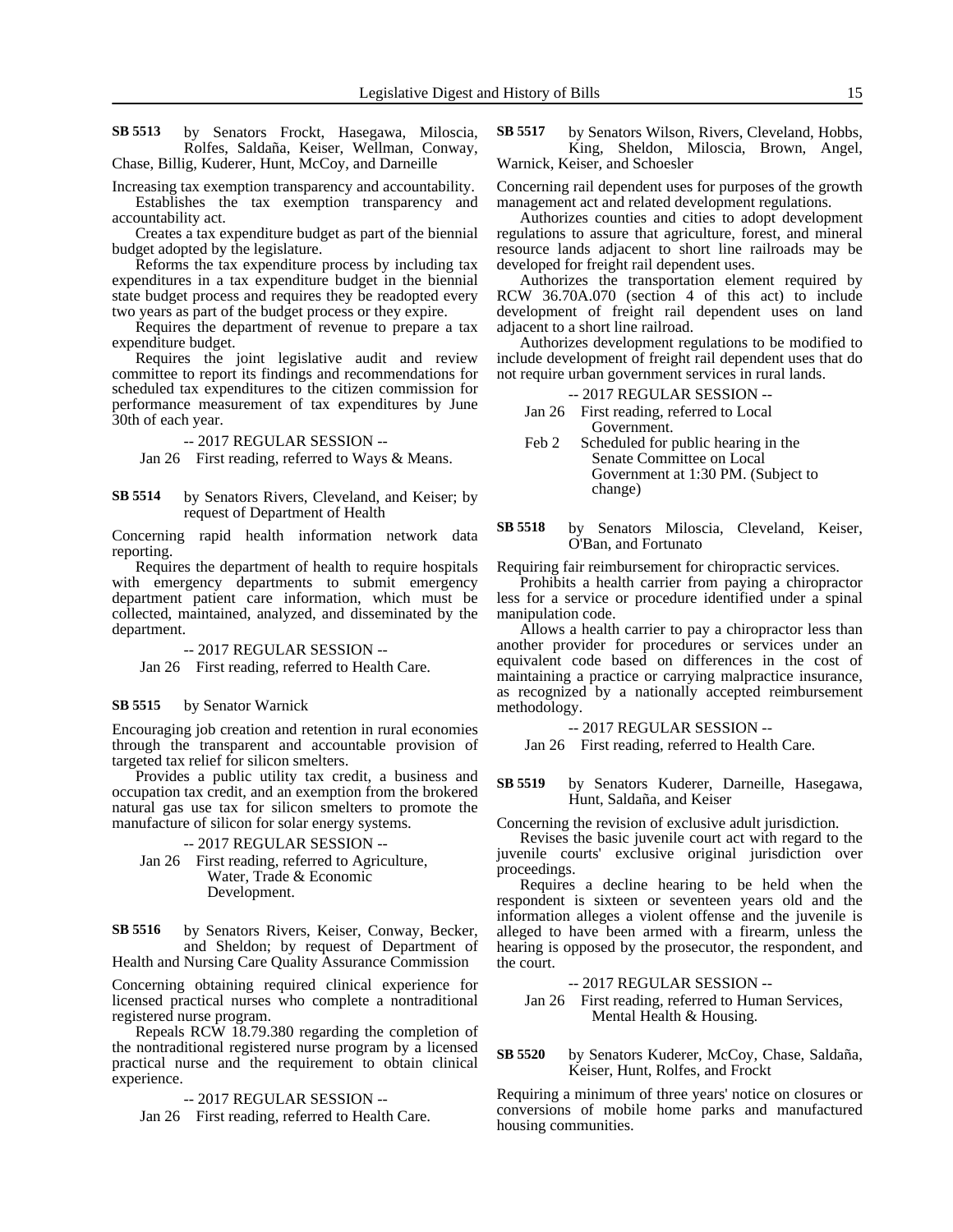by Senators Frockt, Hasegawa, Miloscia, Rolfes, Saldaña, Keiser, Wellman, Conway, Chase, Billig, Kuderer, Hunt, McCoy, and Darneille **SB 5513**

Increasing tax exemption transparency and accountability. Establishes the tax exemption transparency and accountability act.

Creates a tax expenditure budget as part of the biennial budget adopted by the legislature.

Reforms the tax expenditure process by including tax expenditures in a tax expenditure budget in the biennial state budget process and requires they be readopted every two years as part of the budget process or they expire.

Requires the department of revenue to prepare a tax expenditure budget.

Requires the joint legislative audit and review committee to report its findings and recommendations for scheduled tax expenditures to the citizen commission for performance measurement of tax expenditures by June 30th of each year.

-- 2017 REGULAR SESSION --

Jan 26 First reading, referred to Ways & Means.

#### by Senators Rivers, Cleveland, and Keiser; by request of Department of Health **SB 5514**

Concerning rapid health information network data reporting.

Requires the department of health to require hospitals with emergency departments to submit emergency department patient care information, which must be collected, maintained, analyzed, and disseminated by the department.

-- 2017 REGULAR SESSION -- Jan 26 First reading, referred to Health Care.

#### by Senator Warnick **SB 5515**

Encouraging job creation and retention in rural economies through the transparent and accountable provision of targeted tax relief for silicon smelters.

Provides a public utility tax credit, a business and occupation tax credit, and an exemption from the brokered natural gas use tax for silicon smelters to promote the manufacture of silicon for solar energy systems.

### -- 2017 REGULAR SESSION -- Jan 26 First reading, referred to Agriculture,

Water, Trade & Economic Development.

by Senators Rivers, Keiser, Conway, Becker, and Sheldon; by request of Department of Health and Nursing Care Quality Assurance Commission **SB 5516**

Concerning obtaining required clinical experience for licensed practical nurses who complete a nontraditional registered nurse program.

Repeals RCW 18.79.380 regarding the completion of the nontraditional registered nurse program by a licensed practical nurse and the requirement to obtain clinical experience.

-- 2017 REGULAR SESSION --

Jan 26 First reading, referred to Health Care.

by Senators Wilson, Rivers, Cleveland, Hobbs, King, Sheldon, Miloscia, Brown, Angel, Warnick, Keiser, and Schoesler **SB 5517**

Concerning rail dependent uses for purposes of the growth management act and related development regulations.

Authorizes counties and cities to adopt development regulations to assure that agriculture, forest, and mineral resource lands adjacent to short line railroads may be developed for freight rail dependent uses.

Authorizes the transportation element required by RCW 36.70A.070 (section 4 of this act) to include development of freight rail dependent uses on land adjacent to a short line railroad.

Authorizes development regulations to be modified to include development of freight rail dependent uses that do not require urban government services in rural lands.

### -- 2017 REGULAR SESSION --

Jan 26 First reading, referred to Local Government.

- Feb 2 Scheduled for public hearing in the Senate Committee on Local Government at 1:30 PM. (Subject to change)
- by Senators Miloscia, Cleveland, Keiser, O'Ban, and Fortunato **SB 5518**

Requiring fair reimbursement for chiropractic services.

Prohibits a health carrier from paying a chiropractor less for a service or procedure identified under a spinal manipulation code.

Allows a health carrier to pay a chiropractor less than another provider for procedures or services under an equivalent code based on differences in the cost of maintaining a practice or carrying malpractice insurance, as recognized by a nationally accepted reimbursement methodology.

-- 2017 REGULAR SESSION --

Jan 26 First reading, referred to Health Care.

by Senators Kuderer, Darneille, Hasegawa, Hunt, Saldaña, and Keiser **SB 5519**

Concerning the revision of exclusive adult jurisdiction.

Revises the basic juvenile court act with regard to the juvenile courts' exclusive original jurisdiction over proceedings.

Requires a decline hearing to be held when the respondent is sixteen or seventeen years old and the information alleges a violent offense and the juvenile is alleged to have been armed with a firearm, unless the hearing is opposed by the prosecutor, the respondent, and the court.

-- 2017 REGULAR SESSION --

Jan 26 First reading, referred to Human Services, Mental Health & Housing.

#### by Senators Kuderer, McCoy, Chase, Saldaña, Keiser, Hunt, Rolfes, and Frockt **SB 5520**

Requiring a minimum of three years' notice on closures or conversions of mobile home parks and manufactured housing communities.